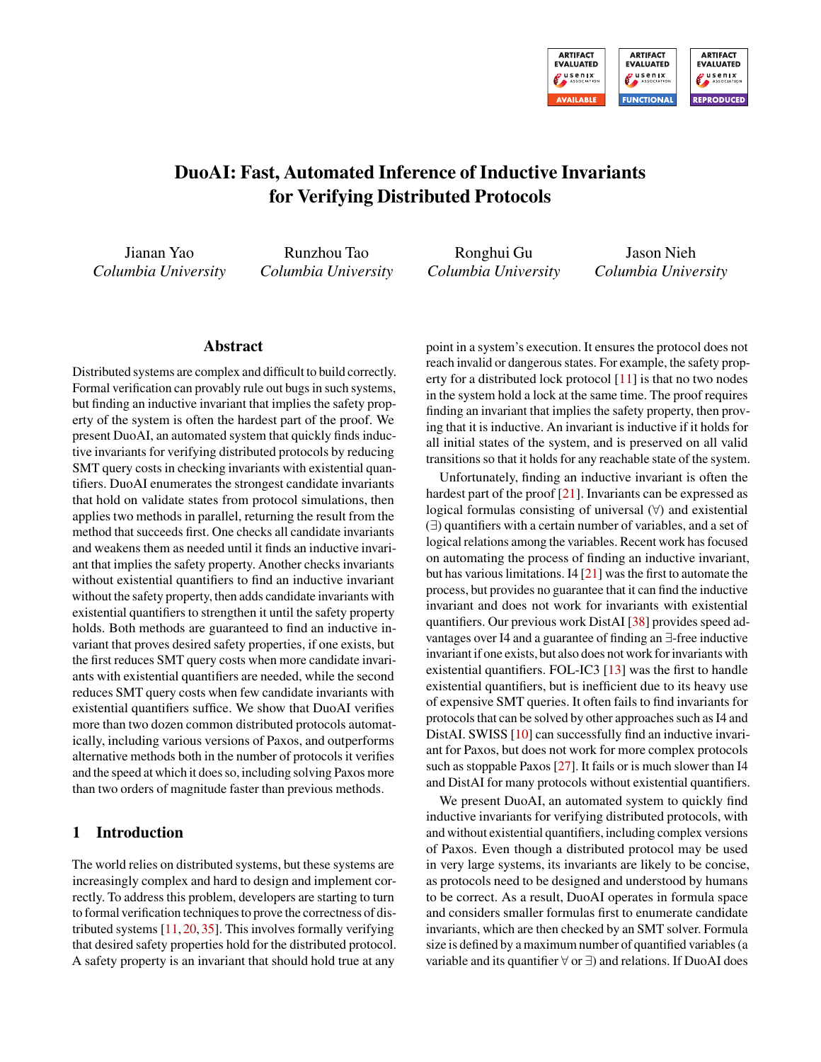

# DuoAI: Fast, Automated Inference of Inductive Invariants for Verifying Distributed Protocols

Jianan Yao *Columbia University*

Runzhou Tao *Columbia University*

Ronghui Gu *Columbia University*

Jason Nieh *Columbia University*

### Abstract

Distributed systems are complex and difficult to build correctly. Formal verification can provably rule out bugs in such systems, but finding an inductive invariant that implies the safety property of the system is often the hardest part of the proof. We present DuoAI, an automated system that quickly finds inductive invariants for verifying distributed protocols by reducing SMT query costs in checking invariants with existential quantifiers. DuoAI enumerates the strongest candidate invariants that hold on validate states from protocol simulations, then applies two methods in parallel, returning the result from the method that succeeds first. One checks all candidate invariants and weakens them as needed until it finds an inductive invariant that implies the safety property. Another checks invariants without existential quantifiers to find an inductive invariant without the safety property, then adds candidate invariants with existential quantifiers to strengthen it until the safety property holds. Both methods are guaranteed to find an inductive invariant that proves desired safety properties, if one exists, but the first reduces SMT query costs when more candidate invariants with existential quantifiers are needed, while the second reduces SMT query costs when few candidate invariants with existential quantifiers suffice. We show that DuoAI verifies more than two dozen common distributed protocols automatically, including various versions of Paxos, and outperforms alternative methods both in the number of protocols it verifies and the speed at which it does so, including solving Paxos more than two orders of magnitude faster than previous methods.

# 1 Introduction

The world relies on distributed systems, but these systems are increasingly complex and hard to design and implement correctly. To address this problem, developers are starting to turn to formal verification techniques to prove the correctness of distributed systems [\[11,](#page-14-0) [20,](#page-14-1) [35\]](#page-15-0). This involves formally verifying that desired safety properties hold for the distributed protocol. A safety property is an invariant that should hold true at any

point in a system's execution. It ensures the protocol does not reach invalid or dangerous states. For example, the safety property for a distributed lock protocol  $[11]$  is that no two nodes in the system hold a lock at the same time. The proof requires finding an invariant that implies the safety property, then proving that it is inductive. An invariant is inductive if it holds for all initial states of the system, and is preserved on all valid transitions so that it holds for any reachable state of the system.

Unfortunately, finding an inductive invariant is often the hardest part of the proof  $[21]$ . Invariants can be expressed as logical formulas consisting of universal (∀) and existential (∃) quantifiers with a certain number of variables, and a set of logical relations among the variables. Recent work has focused on automating the process of finding an inductive invariant, but has various limitations. I4  $[21]$  was the first to automate the process, but provides no guarantee that it can find the inductive invariant and does not work for invariants with existential quantifiers. Our previous work DistAI [\[38\]](#page-15-2) provides speed advantages over I4 and a guarantee of finding an ∃-free inductive invariant if one exists, but also does not work for invariants with existential quantifiers. FOL-IC3 [\[13\]](#page-14-2) was the first to handle existential quantifiers, but is inefficient due to its heavy use of expensive SMT queries. It often fails to find invariants for protocols that can be solved by other approaches such as I4 and DistAI. SWISS [\[10\]](#page-14-3) can successfully find an inductive invariant for Paxos, but does not work for more complex protocols such as stoppable Paxos [\[27\]](#page-15-3). It fails or is much slower than I4 and DistAI for many protocols without existential quantifiers.

We present DuoAI, an automated system to quickly find inductive invariants for verifying distributed protocols, with and without existential quantifiers, including complex versions of Paxos. Even though a distributed protocol may be used in very large systems, its invariants are likely to be concise, as protocols need to be designed and understood by humans to be correct. As a result, DuoAI operates in formula space and considers smaller formulas first to enumerate candidate invariants, which are then checked by an SMT solver. Formula size is defined by a maximum number of quantified variables (a variable and its quantifier ∀ or ∃) and relations. If DuoAI does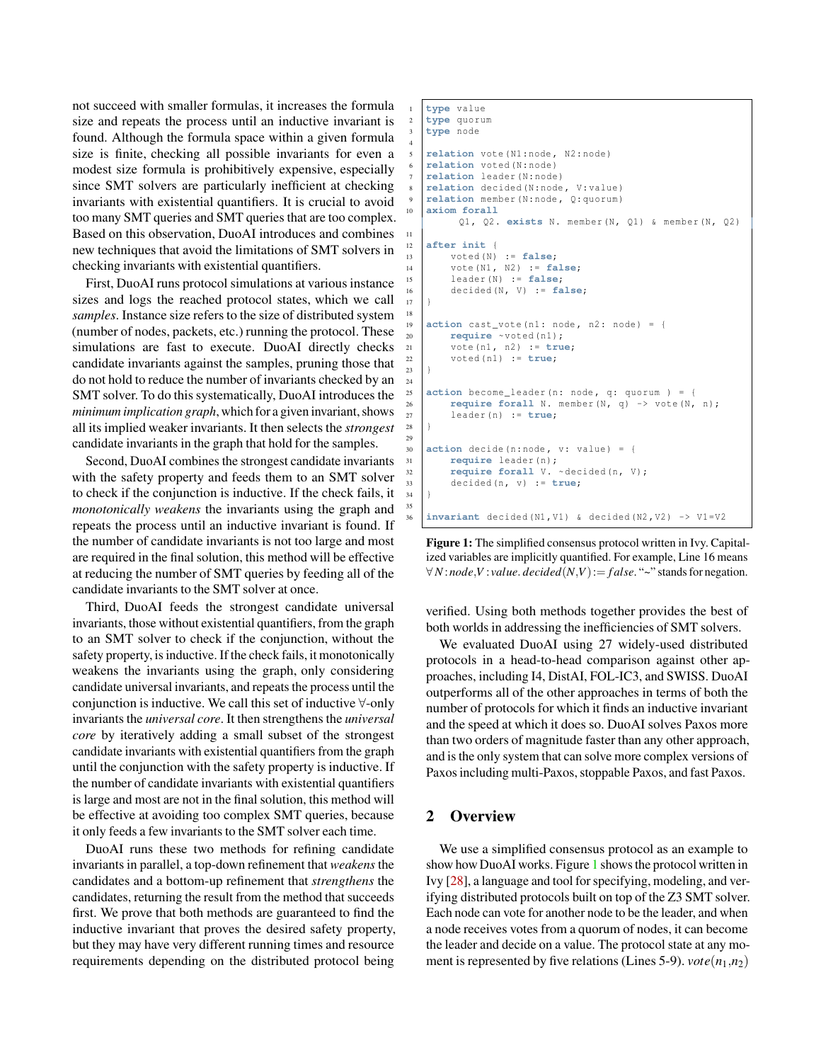not succeed with smaller formulas, it increases the formula size and repeats the process until an inductive invariant is found. Although the formula space within a given formula size is finite, checking all possible invariants for even a modest size formula is prohibitively expensive, especially since SMT solvers are particularly inefficient at checking invariants with existential quantifiers. It is crucial to avoid too many SMT queries and SMT queries that are too complex. Based on this observation, DuoAI introduces and combines new techniques that avoid the limitations of SMT solvers in checking invariants with existential quantifiers.

First, DuoAI runs protocol simulations at various instance sizes and logs the reached protocol states, which we call *samples*. Instance size refers to the size of distributed system (number of nodes, packets, etc.) running the protocol. These simulations are fast to execute. DuoAI directly checks candidate invariants against the samples, pruning those that do not hold to reduce the number of invariants checked by an SMT solver. To do this systematically, DuoAI introduces the *minimum implication graph*, which for a given invariant, shows all its implied weaker invariants. It then selects the *strongest* candidate invariants in the graph that hold for the samples.

Second, DuoAI combines the strongest candidate invariants with the safety property and feeds them to an SMT solver to check if the conjunction is inductive. If the check fails, it *monotonically weakens* the invariants using the graph and repeats the process until an inductive invariant is found. If the number of candidate invariants is not too large and most are required in the final solution, this method will be effective at reducing the number of SMT queries by feeding all of the candidate invariants to the SMT solver at once.

Third, DuoAI feeds the strongest candidate universal invariants, those without existential quantifiers, from the graph to an SMT solver to check if the conjunction, without the safety property, is inductive. If the check fails, it monotonically weakens the invariants using the graph, only considering candidate universal invariants, and repeats the process until the conjunction is inductive. We call this set of inductive ∀-only invariants the *universal core*. It then strengthens the *universal core* by iteratively adding a small subset of the strongest candidate invariants with existential quantifiers from the graph until the conjunction with the safety property is inductive. If the number of candidate invariants with existential quantifiers is large and most are not in the final solution, this method will be effective at avoiding too complex SMT queries, because it only feeds a few invariants to the SMT solver each time.

DuoAI runs these two methods for refining candidate invariants in parallel, a top-down refinement that *weakens* the candidates and a bottom-up refinement that *strengthens* the candidates, returning the result from the method that succeeds first. We prove that both methods are guaranteed to find the inductive invariant that proves the desired safety property, but they may have very different running times and resource requirements depending on the distributed protocol being

```
1 type value
    2 type quorum
   3 type node
 4
    5 relation vote ( N1 : node , N2 : node )
    relation voted (N: node)
    relation leader (N: node)
    relation decided (N: node, V: value)
    9 relation member (N: node , Q: quorum )
10 axiom forall
         Q1, Q2. exists N. member (N, Q1) & member (N, Q2)
11
12 after init {
13 voted (N) := false;
14 vote (N1, N2) := false;
15 leader (N) := false;
16 decided (N, V) := false;
17 }
18
19 \alpha action cast_vote (n1: node, n2: node) = {
20 require ~voted (n1);
21 vote (n1 , n2 ) := true;
22 \mid \text{voted (n1)} := \text{true};23 }
24
    action become_leader (n: node, q: quorum ) = {
26 require forall N. member (N, q) \rightarrow vote (N, n);
27 leader (n) := true;
28 }
29
30 \alpha action decide (n: node, v: value) = {
31 require leader (n);
32 require forall V. ~decided (n. V);
33 decided (n, v) := true;
34 }
35
    \text{invariant} decided (N1, V1) & decided (N2, V2) -> V1=V2
```
Figure 1: The simplified consensus protocol written in Ivy. Capitalized variables are implicitly quantified. For example, Line 16 means  $∀N:node, V: value. decided(N,V):=false. "~" stands for negation.$ 

verified. Using both methods together provides the best of both worlds in addressing the inefficiencies of SMT solvers.

We evaluated DuoAI using 27 widely-used distributed protocols in a head-to-head comparison against other approaches, including I4, DistAI, FOL-IC3, and SWISS. DuoAI outperforms all of the other approaches in terms of both the number of protocols for which it finds an inductive invariant and the speed at which it does so. DuoAI solves Paxos more than two orders of magnitude faster than any other approach, and is the only system that can solve more complex versions of Paxos including multi-Paxos, stoppable Paxos, and fast Paxos.

### 2 Overview

We use a simplified consensus protocol as an example to show how DuoAI works. Figure [1](#page-1-0) shows the protocol written in Ivy [\[28\]](#page-15-4), a language and tool for specifying, modeling, and verifying distributed protocols built on top of the Z3 SMT solver. Each node can vote for another node to be the leader, and when a node receives votes from a quorum of nodes, it can become the leader and decide on a value. The protocol state at any moment is represented by five relations (Lines 5-9).  $\text{vote}(n_1, n_2)$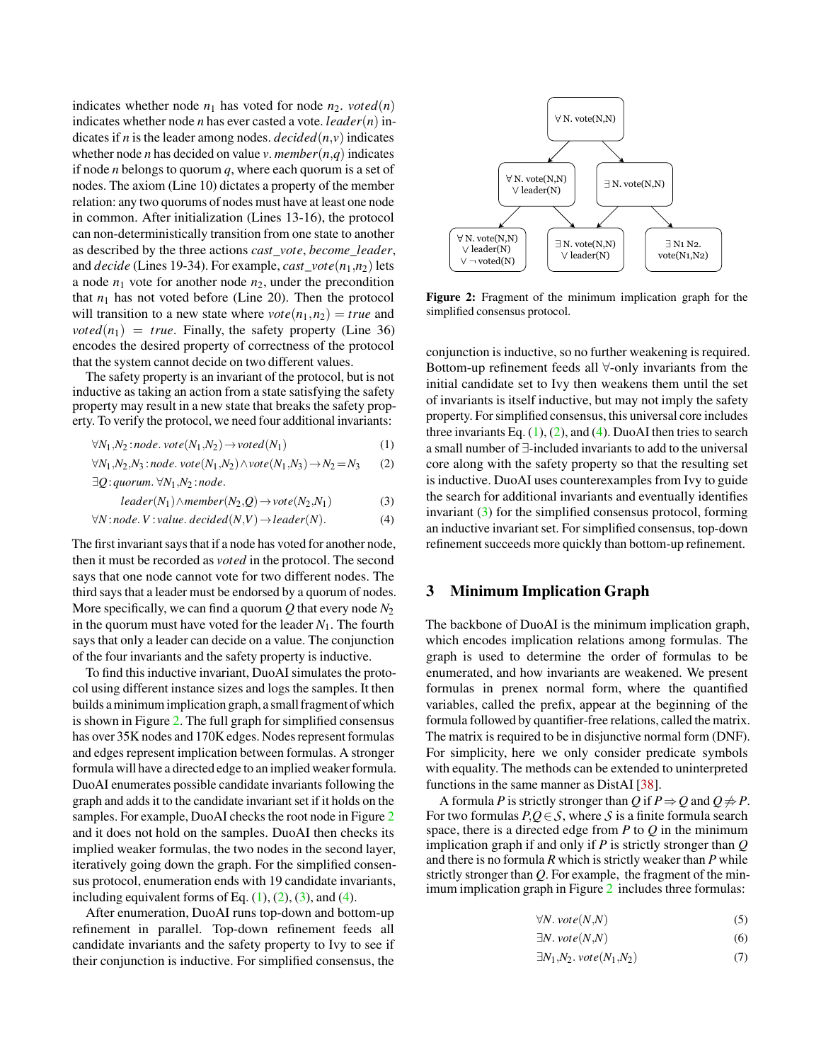indicates whether node  $n_1$  has voted for node  $n_2$ . *voted*(*n*) indicates whether node *n* has ever casted a vote. *leader*(*n*) indicates if *n* is the leader among nodes. *decided*( $n$ , $v$ ) indicates whether node *n* has decided on value *v*. *member*( $n$ , $q$ ) indicates if node *n* belongs to quorum *q*, where each quorum is a set of nodes. The axiom (Line 10) dictates a property of the member relation: any two quorums of nodes must have at least one node in common. After initialization (Lines 13-16), the protocol can non-deterministically transition from one state to another as described by the three actions *cast*\_*vote*, *become*\_*leader*, and *decide* (Lines 19-34). For example, *cast*\_*vote*(*n*1,*n*2) lets a node  $n_1$  vote for another node  $n_2$ , under the precondition that  $n_1$  has not voted before (Line 20). Then the protocol will transition to a new state where  $\text{vote}(n_1, n_2) = \text{true}$  and  $voted(n_1) = true$ . Finally, the safety property (Line 36) encodes the desired property of correctness of the protocol that the system cannot decide on two different values.

The safety property is an invariant of the protocol, but is not inductive as taking an action from a state satisfying the safety property may result in a new state that breaks the safety property. To verify the protocol, we need four additional invariants:

$$
\forall N_1, N_2 \text{ :} node \text{ . } vote(N_1, N_2) \rightarrow voted(N_1) \tag{1}
$$

$$
\forall N_1, N_2, N_3 \text{ :} \text{node.} \text{ vote}(N_1, N_2) \land \text{vote}(N_1, N_3) \rightarrow N_2 = N_3 \qquad (2)
$$
  

$$
\exists Q : \text{quorum.} \forall N_1, N_2 \text{ :} \text{node.}
$$

$$
leader(N_1) \land member(N_2, Q) \rightarrow vote(N_2, N_1)
$$
 (3)

$$
\forall N: node. V: value. decided(N,V) \rightarrow leader(N). \tag{4}
$$

The first invariant says that if a node has voted for another node, then it must be recorded as *voted* in the protocol. The second says that one node cannot vote for two different nodes. The third says that a leader must be endorsed by a quorum of nodes. More specifically, we can find a quorum  $Q$  that every node  $N_2$ in the quorum must have voted for the leader  $N_1$ . The fourth says that only a leader can decide on a value. The conjunction of the four invariants and the safety property is inductive.

To find this inductive invariant, DuoAI simulates the protocol using different instance sizes and logs the samples. It then builds a minimum implication graph,a small fragment of which is shown in Figure [2.](#page-2-0) The full graph for simplified consensus has over 35K nodes and 170K edges. Nodes represent formulas and edges represent implication between formulas. A stronger formula will have a directed edge to an implied weaker formula. DuoAI enumerates possible candidate invariants following the graph and adds it to the candidate invariant set if it holds on the samples. For example, DuoAI checks the root node in Figure [2](#page-2-0) and it does not hold on the samples. DuoAI then checks its implied weaker formulas, the two nodes in the second layer, iteratively going down the graph. For the simplified consensus protocol, enumeration ends with 19 candidate invariants, including equivalent forms of Eq.  $(1)$ ,  $(2)$ ,  $(3)$ , and  $(4)$ .

After enumeration, DuoAI runs top-down and bottom-up refinement in parallel. Top-down refinement feeds all candidate invariants and the safety property to Ivy to see if their conjunction is inductive. For simplified consensus, the

<span id="page-2-0"></span>

Figure 2: Fragment of the minimum implication graph for the simplified consensus protocol.

<span id="page-2-2"></span><span id="page-2-1"></span>conjunction is inductive, so no further weakening is required. Bottom-up refinement feeds all ∀-only invariants from the initial candidate set to Ivy then weakens them until the set of invariants is itself inductive, but may not imply the safety property. For simplified consensus, this universal core includes three invariants Eq.  $(1)$ ,  $(2)$ , and  $(4)$ . DuoAI then tries to search a small number of ∃-included invariants to add to the universal core along with the safety property so that the resulting set is inductive. DuoAI uses counterexamples from Ivy to guide the search for additional invariants and eventually identifies invariant [\(3\)](#page-2-3) for the simplified consensus protocol, forming an inductive invariant set. For simplified consensus, top-down refinement succeeds more quickly than bottom-up refinement.

## <span id="page-2-4"></span><span id="page-2-3"></span>3 Minimum Implication Graph

The backbone of DuoAI is the minimum implication graph, which encodes implication relations among formulas. The graph is used to determine the order of formulas to be enumerated, and how invariants are weakened. We present formulas in prenex normal form, where the quantified variables, called the prefix, appear at the beginning of the formula followed by quantifier-free relations, called the matrix. The matrix is required to be in disjunctive normal form (DNF). For simplicity, here we only consider predicate symbols with equality. The methods can be extended to uninterpreted functions in the same manner as DistAI [\[38\]](#page-15-2).

A formula *P* is strictly stronger than *Q* if  $P \Rightarrow Q$  and  $Q \not\Rightarrow P$ . For two formulas *P*,*Q*∈*S*, where *S* is a finite formula search space, there is a directed edge from *P* to *Q* in the minimum implication graph if and only if *P* is strictly stronger than *Q* and there is no formula *R* which is strictly weaker than *P* while strictly stronger than *Q*. For example, the fragment of the minimum implication graph in Figure [2](#page-2-0) includes three formulas:

$$
\forall N. \, vote(N, N) \tag{5}
$$

<span id="page-2-7"></span><span id="page-2-6"></span><span id="page-2-5"></span>
$$
\exists N. \, vote(N, N) \tag{6}
$$

$$
\exists N_1, N_2. \, vote(N_1, N_2) \tag{7}
$$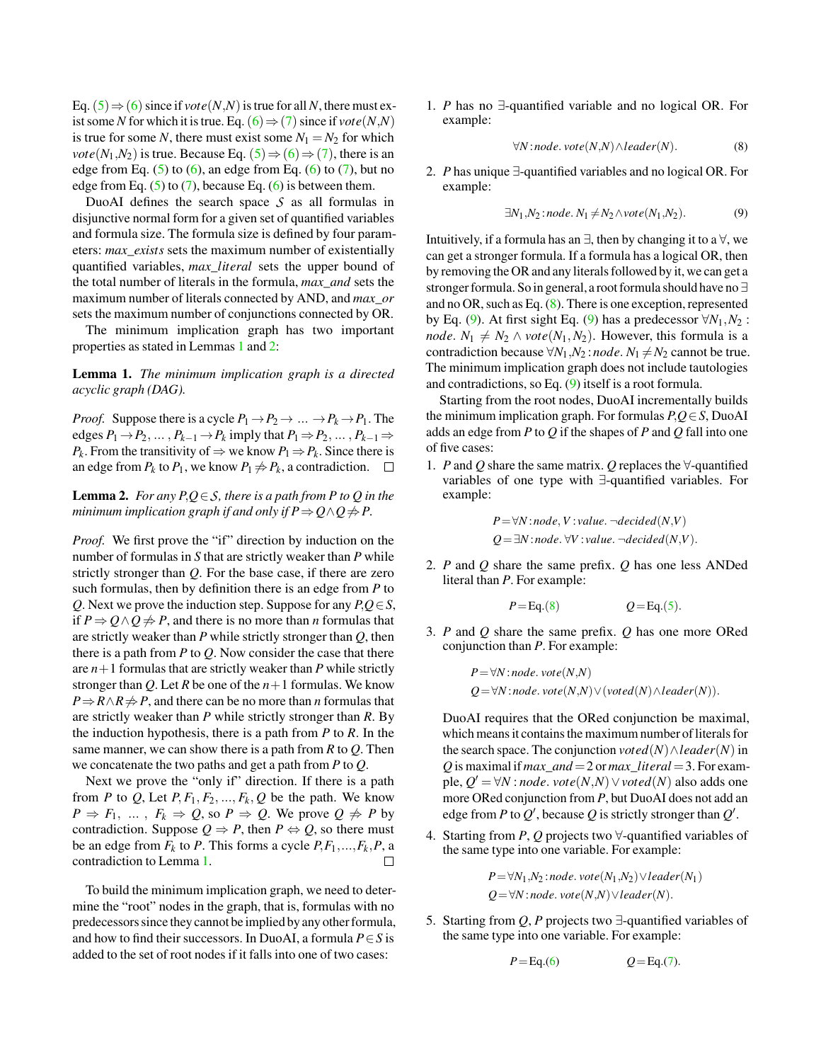Eq.  $(5) \Rightarrow (6)$  $(5) \Rightarrow (6)$  $(5) \Rightarrow (6)$  $(5) \Rightarrow (6)$  $(5) \Rightarrow (6)$  since if *vote* $(N,N)$  is true for all N, there must exist some *N* for which it is true. Eq. ([6](#page-2-6))  $\Rightarrow$  ([7](#page-2-7)) since if *vote*(*N*,*N*) is true for some *N*, there must exist some  $N_1 = N_2$  for which *vote*( $N_1$ , $N_2$ ) is true. Because Eq. ([5](#page-2-5))  $\Rightarrow$  ([6](#page-2-6))  $\Rightarrow$  ([7](#page-2-7)), there is an edge from Eq.  $(5)$  to  $(6)$ , an edge from Eq.  $(6)$  to  $(7)$ , but no edge from Eq.  $(5)$  to  $(7)$ , because Eq.  $(6)$  is between them.

DuoAI defines the search space *S* as all formulas in disjunctive normal form for a given set of quantified variables and formula size. The formula size is defined by four parameters: *max*\_*exists* sets the maximum number of existentially quantified variables, *max*\_*literal* sets the upper bound of the total number of literals in the formula, *max*\_*and* sets the maximum number of literals connected by AND, and *max*\_*or* sets the maximum number of conjunctions connected by OR.

The minimum implication graph has two important properties as stated in Lemmas [1](#page-3-0) and [2:](#page-3-1)

<span id="page-3-0"></span>Lemma 1. *The minimum implication graph is a directed acyclic graph (DAG).*

*Proof.* Suppose there is a cycle  $P_1 \rightarrow P_2 \rightarrow \dots \rightarrow P_k \rightarrow P_1$ . The edges  $P_1 \rightarrow P_2, \ldots, P_{k-1} \rightarrow P_k$  imply that  $P_1 \Rightarrow P_2, \ldots, P_{k-1} \Rightarrow$ *P*<sup>*k*</sup>. From the transitivity of  $\Rightarrow$  we know *P*<sup>1</sup>  $\Rightarrow$  *P*<sup>*k*</sup>. Since there is an edge from  $P_k$  to  $P_1$ , we know  $P_1 \neq P_k$ , a contradiction.  $\Box$ 

<span id="page-3-1"></span>**Lemma 2.** *For any*  $P,Q \in S$ *, there is a path from*  $P$  *to*  $Q$  *in the minimum implication graph if and only if*  $P \Rightarrow Q \land Q \not\Rightarrow P$ *.* 

*Proof.* We first prove the "if" direction by induction on the number of formulas in *S* that are strictly weaker than *P* while strictly stronger than *Q*. For the base case, if there are zero such formulas, then by definition there is an edge from *P* to *Q*. Next we prove the induction step. Suppose for any *P*,*Q*∈*S*, if *P* ⇒  $Q \land Q$   $\neq$  *P*, and there is no more than *n* formulas that are strictly weaker than *P* while strictly stronger than *Q*, then there is a path from *P* to *Q*. Now consider the case that there are  $n+1$  formulas that are strictly weaker than  $P$  while strictly stronger than *Q*. Let *R* be one of the *n*+1 formulas. We know *P* ⇒ *R* ∧ *R*  $\neq$  *P*, and there can be no more than *n* formulas that are strictly weaker than *P* while strictly stronger than *R*. By the induction hypothesis, there is a path from *P* to *R*. In the same manner, we can show there is a path from *R* to *Q*. Then we concatenate the two paths and get a path from *P* to *Q*.

Next we prove the "only if" direction. If there is a path from *P* to *Q*, Let  $P, F_1, F_2, ..., F_k, Q$  be the path. We know  $P \Rightarrow F_1, \ldots, F_k \Rightarrow Q$ , so  $P \Rightarrow Q$ . We prove  $Q \not\Rightarrow P$  by contradiction. Suppose  $Q \Rightarrow P$ , then  $P \Leftrightarrow Q$ , so there must be an edge from  $F_k$  to *P*. This forms a cycle  $P, F_1, \ldots, F_k, P$ , a contradiction to Lemma [1.](#page-3-0)  $\Box$ 

To build the minimum implication graph, we need to determine the "root" nodes in the graph, that is, formulas with no predecessors since they cannot be implied by any other formula, and how to find their successors. In DuoAI, a formula *P*∈*S* is added to the set of root nodes if it falls into one of two cases:

1. *P* has no ∃-quantified variable and no logical OR. For example:

<span id="page-3-3"></span><span id="page-3-2"></span>
$$
\forall N: node. \, vote(N,N) \land leader(N). \tag{8}
$$

2. *P* has unique ∃-quantified variables and no logical OR. For example:

$$
\exists N_1, N_2 \colon node \colon N_1 \neq N_2 \land vote(N_1, N_2). \tag{9}
$$

Intuitively, if a formula has an  $\exists$ , then by changing it to a  $\forall$ , we can get a stronger formula. If a formula has a logical OR, then by removing the OR and any literals followed by it, we can get a stronger formula. So in general,a root formula should have no ∃ and no OR, such as Eq.  $(8)$ . There is one exception, represented by Eq. [\(9\)](#page-3-3). At first sight Eq. (9) has a predecessor  $\forall N_1, N_2$ : *node.*  $N_1 \neq N_2 \land \text{vote}(N_1, N_2)$ . However, this formula is a contradiction because  $\forall N_1, N_2$ : *node*.  $N_1 \neq N_2$  cannot be true. The minimum implication graph does not include tautologies and contradictions, so Eq. [\(9\)](#page-3-3) itself is a root formula.

Starting from the root nodes, DuoAI incrementally builds the minimum implication graph. For formulas *P*,*Q*∈*S*, DuoAI adds an edge from *P* to *Q* if the shapes of *P* and *Q* fall into one of five cases:

1. *P* and *Q* share the same matrix. *Q* replaces the ∀-quantified variables of one type with ∃-quantified variables. For example:

$$
P = \forall N : node, V : value. \neg decided(N, V)
$$
  

$$
Q = \exists N : node. \forall V : value. \neg decided(N, V).
$$

2. *P* and *Q* share the same prefix. *Q* has one less ANDed literal than *P*. For example:

$$
P = \text{Eq.}(8) \qquad Q = \text{Eq.}(5).
$$

3. *P* and *Q* share the same prefix. *Q* has one more ORed conjunction than *P*. For example:

$$
P=\forall N: node. \, vote(N,N)
$$
  
 
$$
Q=\forall N: node. \, vote(N,N) \vee (voted(N) \wedge leader(N)).
$$

DuoAI requires that the ORed conjunction be maximal, which means it contains the maximum number of literals for the search space. The conjunction  $voted(N) \wedge leader(N)$  in Q is maximal if  $max\_and = 2$  or  $max\_literal = 3$ . For example,  $Q' = \forall N : node$ .  $vote(N,N) \lor vote(N)$  also adds one more ORed conjunction from *P*, but DuoAI does not add an edge from *P* to  $Q'$ , because  $Q$  is strictly stronger than  $Q'$ .

4. Starting from *P*, *Q* projects two ∀-quantified variables of the same type into one variable. For example:

$$
P=\forall N_1,N_2:node.\,vote(N_1,N_2)\vee leader(N_1) Q=\forall N:node.\,vote(N,N)\vee leader(N).
$$

5. Starting from *Q*, *P* projects two ∃-quantified variables of the same type into one variable. For example:

$$
P = \text{Eq.}(6) \qquad Q = \text{Eq.}(7).
$$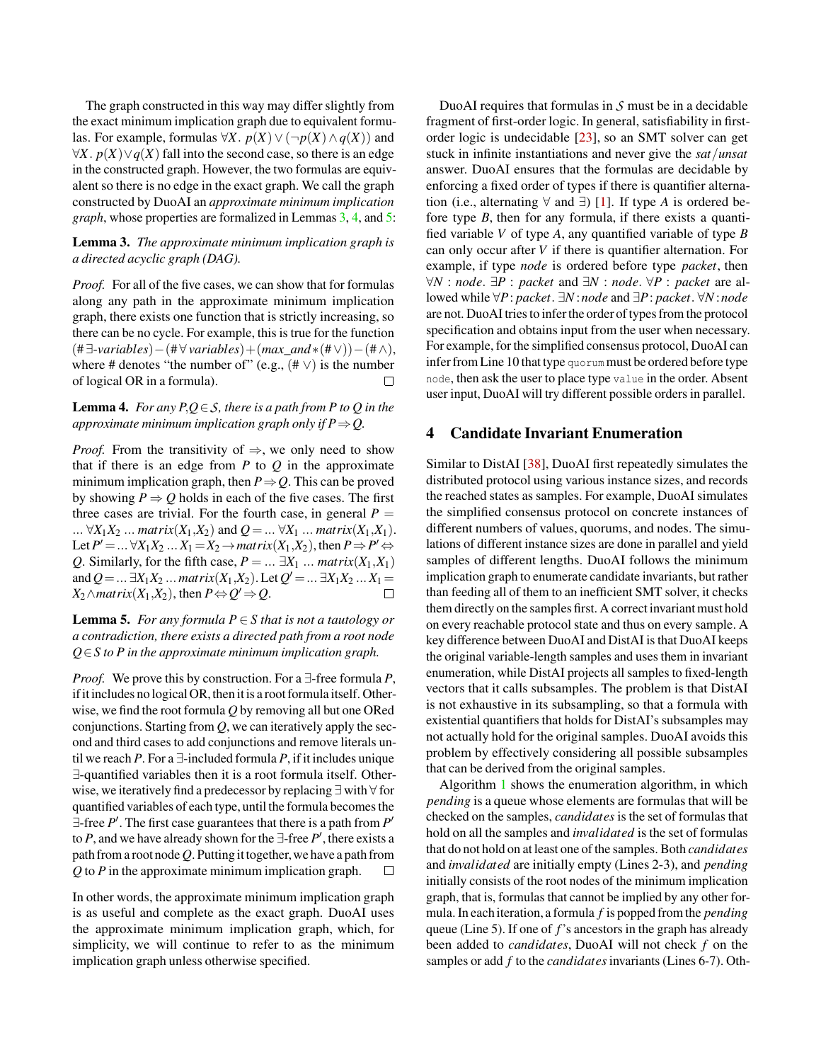The graph constructed in this way may differ slightly from the exact minimum implication graph due to equivalent formulas. For example, formulas ∀*X*.  $p(X)$  ∨ (¬ $p(X)$  ∧  $q(X)$ ) and  $\forall X. p(X) \lor q(X)$  fall into the second case, so there is an edge in the constructed graph. However, the two formulas are equivalent so there is no edge in the exact graph. We call the graph constructed by DuoAI an *approximate minimum implication graph*, whose properties are formalized in Lemmas [3,](#page-4-0) [4,](#page-4-1) and [5:](#page-4-2)

### <span id="page-4-0"></span>Lemma 3. *The approximate minimum implication graph is a directed acyclic graph (DAG).*

*Proof.* For all of the five cases, we can show that for formulas along any path in the approximate minimum implication graph, there exists one function that is strictly increasing, so there can be no cycle. For example, this is true for the function (# ∃-*variables*)−(# ∀ *variables*)+(*max*\_*and*∗(#∨))−(#∧), where # denotes "the number of" (e.g.,  $(\# \vee)$ ) is the number of logical OR in a formula).  $\Box$ 

### <span id="page-4-1"></span>**Lemma 4.** *For any*  $P,Q \in S$ *, there is a path from*  $P$  *to*  $Q$  *in the approximate minimum implication graph only if P* $\Rightarrow$ *Q.*

*Proof.* From the transitivity of  $\Rightarrow$ , we only need to show that if there is an edge from  $P$  to  $Q$  in the approximate minimum implication graph, then  $P \Rightarrow Q$ . This can be proved by showing  $P \Rightarrow Q$  holds in each of the five cases. The first three cases are trivial. For the fourth case, in general  $P =$ ... ∀*X*<sub>1</sub>*X*<sub>2</sub> ... *matrix*(*X*<sub>1</sub>,*X*<sub>2</sub>) and  $Q = ... \forall X_1 ... \text{ matrix}(X_1, X_1)$ . Let  $P' = ... \forall X_1 X_2 ... X_1 = X_2 \rightarrow matrix(X_1, X_2)$ , then  $P \Rightarrow P' \Leftrightarrow P' \Leftrightarrow P' \Leftrightarrow P' \Leftrightarrow P' \Leftrightarrow P' \Leftrightarrow P' \Leftrightarrow P' \Leftrightarrow P' \Leftrightarrow P' \Leftrightarrow P' \Leftrightarrow P' \Leftrightarrow P' \Leftrightarrow P' \Leftrightarrow P' \Leftrightarrow P' \Leftrightarrow P' \Leftrightarrow P' \Leftrightarrow P' \Leftrightarrow P' \Leftrightarrow P' \Leftrightarrow P' \Leftrightarrow P' \Leftrightarrow P' \Leftrightarrow P' \Lef$ *Q*. Similarly, for the fifth case,  $P = ... \exists X_1 ... \text{ matrix}(X_1, X_1)$ and  $Q = ... \exists X_1 X_2 ...$  *matrix* $(X_1, X_2)$ . Let  $Q' = ... \exists X_1 X_2 ... X_1 =$  $X_2 \wedge$ *matrix* $(X_1, X_2)$ , then  $P \Leftrightarrow Q' \Rightarrow Q$ .  $\Box$ 

<span id="page-4-2"></span>**Lemma 5.** *For any formula*  $P \in S$  *that is not a tautology or a contradiction, there exists a directed path from a root node Q*∈*S to P in the approximate minimum implication graph.*

*Proof.* We prove this by construction. For a ∃-free formula *P*, if it includes no logical OR, then it is a root formula itself. Otherwise, we find the root formula *Q* by removing all but one ORed conjunctions. Starting from *Q*, we can iteratively apply the second and third cases to add conjunctions and remove literals until we reach *P*. For a ∃-included formula *P*, if it includes unique ∃-quantified variables then it is a root formula itself. Otherwise, we iteratively find a predecessor by replacing ∃ with ∀ for quantified variables of each type, until the formula becomes the ∃-free *P* ′ . The first case guarantees that there is a path from *P* ′ to *P*, and we have already shown for the  $\exists$ -free *P*<sup>'</sup>, there exists a path from a root node Q. Putting it together, we have a path from *Q* to *P* in the approximate minimum implication graph.  $\Box$ 

In other words, the approximate minimum implication graph is as useful and complete as the exact graph. DuoAI uses the approximate minimum implication graph, which, for simplicity, we will continue to refer to as the minimum implication graph unless otherwise specified.

DuoAI requires that formulas in *S* must be in a decidable fragment of first-order logic. In general, satisfiability in firstorder logic is undecidable [\[23\]](#page-15-5), so an SMT solver can get stuck in infinite instantiations and never give the *sat*/*unsat* answer. DuoAI ensures that the formulas are decidable by enforcing a fixed order of types if there is quantifier alternation (i.e., alternating  $\forall$  and  $\exists$ ) [\[1\]](#page-14-4). If type *A* is ordered before type *B*, then for any formula, if there exists a quantified variable *V* of type *A*, any quantified variable of type *B* can only occur after *V* if there is quantifier alternation. For example, if type *node* is ordered before type *packet*, then ∀*N* : *node*. ∃*P* : *packet* and ∃*N* : *node*. ∀*P* : *packet* are allowed while ∀*P*: *packet*. ∃*N* :*node* and ∃*P*: *packet*. ∀*N* :*node* are not. DuoAI tries to infer the order of types from the protocol specification and obtains input from the user when necessary. For example, for the simplified consensus protocol, DuoAI can infer from Line 10 that type quorum must be ordered before type node, then ask the user to place type value in the order. Absent user input, DuoAI will try different possible orders in parallel.

## 4 Candidate Invariant Enumeration

Similar to DistAI [\[38\]](#page-15-2), DuoAI first repeatedly simulates the distributed protocol using various instance sizes, and records the reached states as samples. For example, DuoAI simulates the simplified consensus protocol on concrete instances of different numbers of values, quorums, and nodes. The simulations of different instance sizes are done in parallel and yield samples of different lengths. DuoAI follows the minimum implication graph to enumerate candidate invariants, but rather than feeding all of them to an inefficient SMT solver, it checks them directly on the samples first. A correct invariant must hold on every reachable protocol state and thus on every sample. A key difference between DuoAI and DistAI is that DuoAI keeps the original variable-length samples and uses them in invariant enumeration, while DistAI projects all samples to fixed-length vectors that it calls subsamples. The problem is that DistAI is not exhaustive in its subsampling, so that a formula with existential quantifiers that holds for DistAI's subsamples may not actually hold for the original samples. DuoAI avoids this problem by effectively considering all possible subsamples that can be derived from the original samples.

Algorithm [1](#page-5-0) shows the enumeration algorithm, in which *pending* is a queue whose elements are formulas that will be checked on the samples, *candidates* is the set of formulas that hold on all the samples and *invalidated* is the set of formulas that do not hold on at least one of the samples. Both *candidates* and *invalidated* are initially empty (Lines 2-3), and *pending* initially consists of the root nodes of the minimum implication graph, that is, formulas that cannot be implied by any other formula. In each iteration, a formula *f* is popped from the *pending* queue (Line 5). If one of *f*'s ancestors in the graph has already been added to *candidates*, DuoAI will not check *f* on the samples or add *f* to the *candidates* invariants (Lines 6-7). Oth-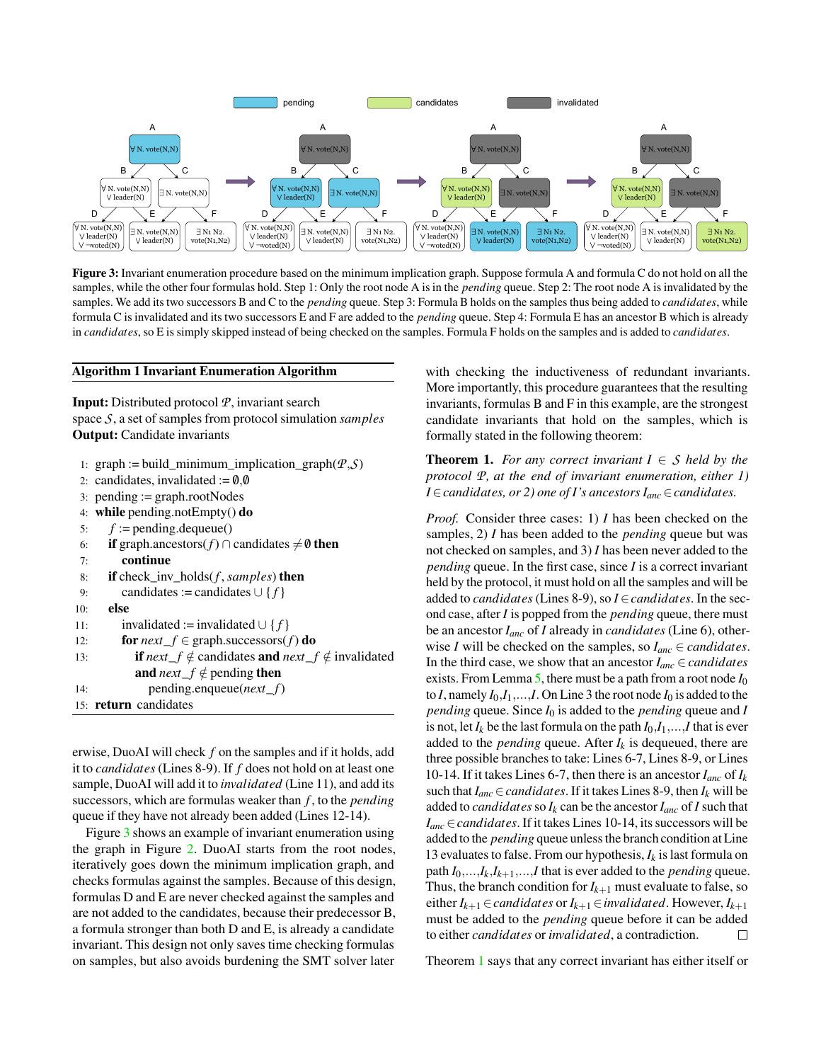<span id="page-5-1"></span>

Figure 3: Invariant enumeration procedure based on the minimum implication graph. Suppose formula A and formula C do not hold on all the samples, while the other four formulas hold. Step 1: Only the root node A is in the *pending* queue. Step 2: The root node A is invalidated by the samples. We add its two successors B and C to the *pending* queue. Step 3: Formula B holds on the samples thus being added to *candidates*, while formula C is invalidated and its two successors E and F are added to the *pending* queue. Step 4: Formula E has an ancestor B which is already in *candidates*, so E is simply skipped instead of being checked on the samples. Formula F holds on the samples and is added to *candidates*.

#### <span id="page-5-0"></span>Algorithm 1 Invariant Enumeration Algorithm

Input: Distributed protocol *P*, invariant search space *S*, a set of samples from protocol simulation *samples* Output: Candidate invariants

- 1: graph := build\_minimum\_implication\_graph $(P, S)$
- 2: candidates, invalidated  $:= 0,0$
- 3: pending  $:=$  graph.rootNodes
- 4: while pending.notEmpty() do
- 5:  $f :=$  pending.dequeue()

```
6: if graph.ancestors(f) ∩ candidates \neq0 then
 7: continue
 8: if check_inv_holds(f , samples) then
 9: candidates := candidates \cup \{f\}10: else
11: invalidated := invalidated ∪ { f }
12: for next_f \in \text{graph}.successors(f) do
13: if next_f \notin candidates and next_f \notin invalidated
           and next_f \notin pending then
```
14: pending.enqueue(*next*\_*f*) 15: return candidates

erwise, DuoAI will check *f* on the samples and if it holds, add it to *candidates* (Lines 8-9). If *f* does not hold on at least one sample, DuoAI will add it to *invalidated* (Line 11), and add its successors, which are formulas weaker than *f* , to the *pending* queue if they have not already been added (Lines 12-14).

Figure [3](#page-5-1) shows an example of invariant enumeration using the graph in Figure [2.](#page-2-0) DuoAI starts from the root nodes, iteratively goes down the minimum implication graph, and checks formulas against the samples. Because of this design, formulas D and E are never checked against the samples and are not added to the candidates, because their predecessor B, a formula stronger than both D and E, is already a candidate invariant. This design not only saves time checking formulas on samples, but also avoids burdening the SMT solver later

with checking the inductiveness of redundant invariants. More importantly, this procedure guarantees that the resulting invariants, formulas B and F in this example, are the strongest candidate invariants that hold on the samples, which is formally stated in the following theorem:

<span id="page-5-2"></span>**Theorem 1.** *For any correct invariant*  $I \in S$  *held by the protocol P, at the end of invariant enumeration, either 1) I*∈*candidates, or 2) one of I's ancestors Ianc*∈*candidates.*

*Proof.* Consider three cases: 1) *I* has been checked on the samples, 2) *I* has been added to the *pending* queue but was not checked on samples, and 3) *I* has been never added to the *pending* queue. In the first case, since *I* is a correct invariant held by the protocol, it must hold on all the samples and will be added to *candidates* (Lines 8-9), so *I*∈*candidates*. In the second case, after *I* is popped from the *pending* queue, there must be an ancestor *Ianc* of *I* already in *candidates* (Line 6), otherwise *I* will be checked on the samples, so  $I_{anc} \in candidates$ . In the third case, we show that an ancestor  $I_{anc} \in candidates$ exists. From Lemma [5,](#page-4-2) there must be a path from a root node *I*<sup>0</sup> to *I*, namely  $I_0, I_1, \ldots, I$ . On Line 3 the root node  $I_0$  is added to the *pending* queue. Since *I*<sup>0</sup> is added to the *pending* queue and *I* is not, let  $I_k$  be the last formula on the path  $I_0, I_1, \ldots, I$  that is ever added to the *pending* queue. After  $I_k$  is dequeued, there are three possible branches to take: Lines 6-7, Lines 8-9, or Lines 10-14. If it takes Lines 6-7, then there is an ancestor  $I_{anc}$  of  $I_k$ such that  $I_{anc} \in candidates$ . If it takes Lines 8-9, then  $I_k$  will be added to *candidates* so  $I_k$  can be the ancestor  $I_{anc}$  of  $I$  such that *Ianc*∈*candidates*. If it takes Lines 10-14, its successors will be added to the *pending* queue unless the branch condition at Line 13 evaluates to false. From our hypothesis,  $I_k$  is last formula on path  $I_0$ ,..., $I_k$ , $I_{k+1}$ ,..., $I$  that is ever added to the *pending* queue. Thus, the branch condition for  $I_{k+1}$  must evaluate to false, so  $e$ ither *I*<sub>*k*+1</sub>∈ *candidates* or *I*<sub>*k*+1</sub>∈ *invalidated*. However, *I*<sub>*k*+1</sub> must be added to the *pending* queue before it can be added to either *candidates* or *invalidated*, a contradiction.  $\Box$ 

Theorem [1](#page-5-2) says that any correct invariant has either itself or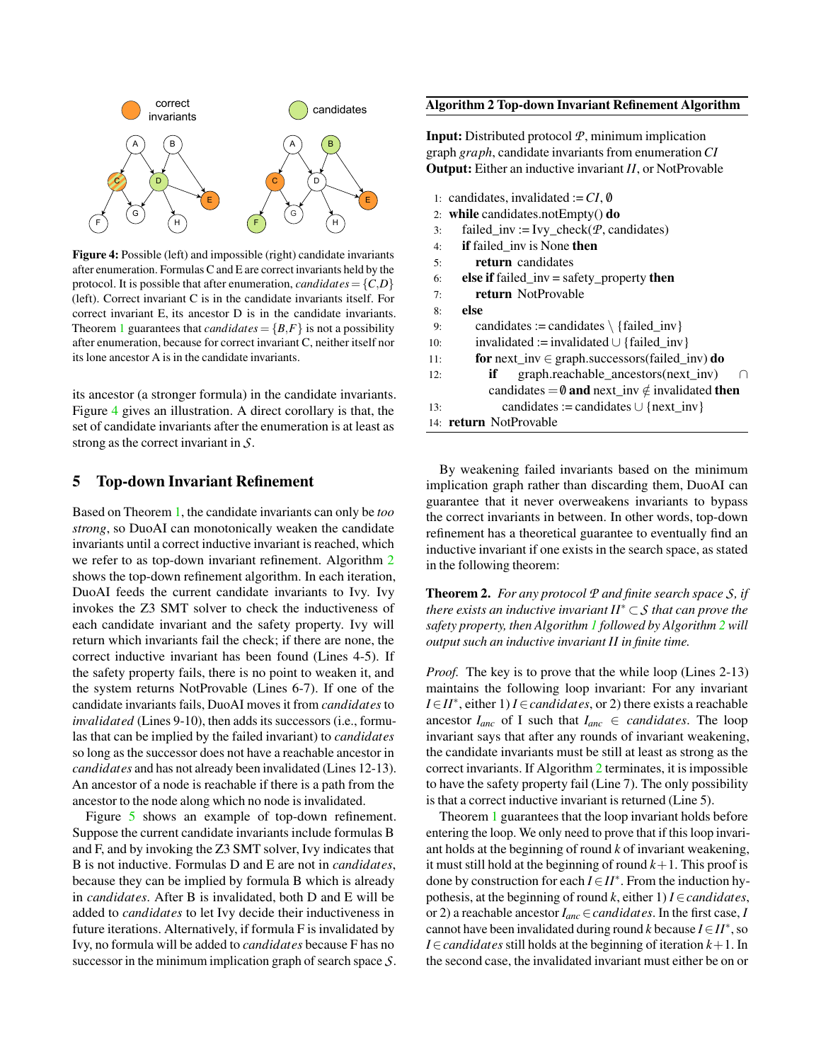<span id="page-6-0"></span>

Figure 4: Possible (left) and impossible (right) candidate invariants after enumeration. Formulas C and E are correct invariants held by the protocol. It is possible that after enumeration, *candidates* =  $\{C,D\}$ (left). Correct invariant C is in the candidate invariants itself. For correct invariant E, its ancestor D is in the candidate invariants. Theorem [1](#page-5-2) guarantees that *candidates* =  ${B,F}$  is not a possibility after enumeration, because for correct invariant C, neither itself nor its lone ancestor A is in the candidate invariants.

its ancestor (a stronger formula) in the candidate invariants. Figure [4](#page-6-0) gives an illustration. A direct corollary is that, the set of candidate invariants after the enumeration is at least as strong as the correct invariant in *S*.

### <span id="page-6-3"></span>5 Top-down Invariant Refinement

Based on Theorem [1,](#page-5-2) the candidate invariants can only be *too strong*, so DuoAI can monotonically weaken the candidate invariants until a correct inductive invariant is reached, which we refer to as top-down invariant refinement. Algorithm [2](#page-6-1) shows the top-down refinement algorithm. In each iteration, DuoAI feeds the current candidate invariants to Ivy. Ivy invokes the Z3 SMT solver to check the inductiveness of each candidate invariant and the safety property. Ivy will return which invariants fail the check; if there are none, the correct inductive invariant has been found (Lines 4-5). If the safety property fails, there is no point to weaken it, and the system returns NotProvable (Lines 6-7). If one of the candidate invariants fails, DuoAI moves it from *candidates* to *invalidated* (Lines 9-10), then adds its successors (i.e., formulas that can be implied by the failed invariant) to *candidates* so long as the successor does not have a reachable ancestor in *candidates* and has not already been invalidated (Lines 12-13). An ancestor of a node is reachable if there is a path from the ancestor to the node along which no node is invalidated.

Figure [5](#page-7-0) shows an example of top-down refinement. Suppose the current candidate invariants include formulas B and F, and by invoking the Z3 SMT solver, Ivy indicates that B is not inductive. Formulas D and E are not in *candidates*, because they can be implied by formula B which is already in *candidates*. After B is invalidated, both D and E will be added to *candidates* to let Ivy decide their inductiveness in future iterations. Alternatively, if formula F is invalidated by Ivy, no formula will be added to *candidates* because F has no successor in the minimum implication graph of search space *S*.

#### <span id="page-6-1"></span>Algorithm 2 Top-down Invariant Refinement Algorithm

Input: Distributed protocol *P*, minimum implication graph *graph*, candidate invariants from enumeration*CI* Output: Either an inductive invariant *II*, or NotProvable

|     | 1: candidates, invalidated := $CI$ , 0                          |  |  |  |  |  |  |  |
|-----|-----------------------------------------------------------------|--|--|--|--|--|--|--|
|     | 2: while candidates.not $Empty()$ do                            |  |  |  |  |  |  |  |
| 3:  | failed_inv := Ivy_check( $P$ , candidates)                      |  |  |  |  |  |  |  |
| 4:  | <b>if</b> failed inv is None then                               |  |  |  |  |  |  |  |
| 5:  | return candidates                                               |  |  |  |  |  |  |  |
| 6:  | <b>else if</b> failed_inv = safety_property <b>then</b>         |  |  |  |  |  |  |  |
| 7:  | return NotProvable                                              |  |  |  |  |  |  |  |
| 8:  | else                                                            |  |  |  |  |  |  |  |
| 9:  | candidates := candidates $\{ \text{failed\_inv} \}$             |  |  |  |  |  |  |  |
| 10: | invalidated := invalidated $\cup$ {failed inv}                  |  |  |  |  |  |  |  |
| 11: | for next_inv $\in$ graph.successors(failed_inv) do              |  |  |  |  |  |  |  |
| 12: | graph.reachable_ancestors(next_inv)<br>if<br>∩                  |  |  |  |  |  |  |  |
|     | candidates = $\emptyset$ and next_inv $\notin$ invalidated then |  |  |  |  |  |  |  |
| 13: | candidates := candidates $\cup$ {next inv}                      |  |  |  |  |  |  |  |
|     | 14: return NotProvable                                          |  |  |  |  |  |  |  |

By weakening failed invariants based on the minimum implication graph rather than discarding them, DuoAI can guarantee that it never overweakens invariants to bypass the correct invariants in between. In other words, top-down refinement has a theoretical guarantee to eventually find an inductive invariant if one exists in the search space, as stated in the following theorem:

<span id="page-6-2"></span>Theorem 2. *For any protocol P and finite search space S, if there exists an inductive invariant II*<sup>∗</sup> ⊂*S that can prove the safety property, then Algorithm [1](#page-5-0) followed by Algorithm [2](#page-6-1) will output such an inductive invariant II in finite time.*

*Proof.* The key is to prove that the while loop (Lines 2-13) maintains the following loop invariant: For any invariant *I*∈*II*<sup>\*</sup>, either 1) *I*∈*candidates*, or 2) there exists a reachable ancestor  $I_{anc}$  of I such that  $I_{anc} \in candidates$ . The loop invariant says that after any rounds of invariant weakening, the candidate invariants must be still at least as strong as the correct invariants. If Algorithm [2](#page-6-1) terminates, it is impossible to have the safety property fail (Line 7). The only possibility is that a correct inductive invariant is returned (Line 5).

Theorem [1](#page-5-2) guarantees that the loop invariant holds before entering the loop. We only need to prove that if this loop invariant holds at the beginning of round *k* of invariant weakening, it must still hold at the beginning of round  $k+1$ . This proof is done by construction for each *I*∈*II*<sup>∗</sup> . From the induction hypothesis, at the beginning of round  $k$ , either 1)  $I \in candidates$ , or 2) a reachable ancestor *Ianc*∈*candidates*. In the first case, *I* cannot have been invalidated during round  $k$  because  $I \in H^*$ , so *I*∈*candidates* still holds at the beginning of iteration *k*+1. In the second case, the invalidated invariant must either be on or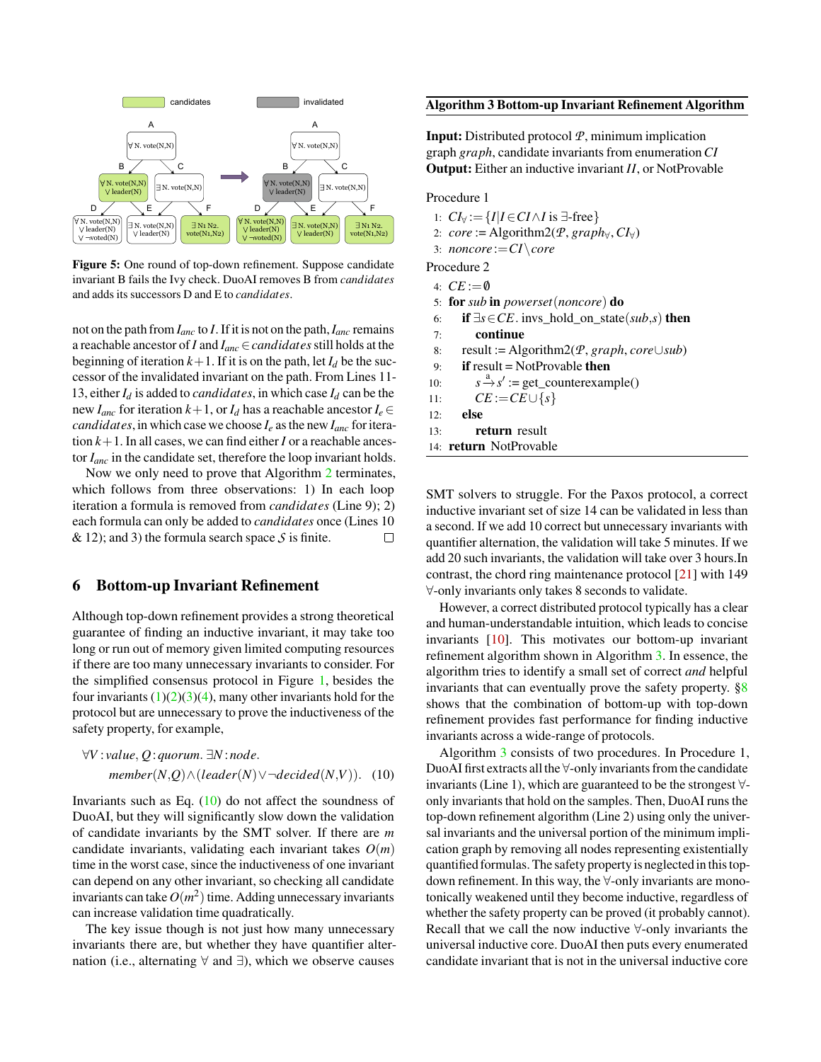<span id="page-7-0"></span>

Figure 5: One round of top-down refinement. Suppose candidate invariant B fails the Ivy check. DuoAI removes B from *candidates* and adds its successors D and E to *candidates*.

not on the path from *Ianc* to *I*. If it is not on the path,*Ianc* remains a reachable ancestor of *I* and *Ianc*∈*candidates*still holds at the beginning of iteration  $k+1$ . If it is on the path, let  $I_d$  be the successor of the invalidated invariant on the path. From Lines 11- 13, either  $I_d$  is added to *candidates*, in which case  $I_d$  can be the new *I<sub>anc</sub>* for iteration  $k+1$ , or *I<sub>d</sub>* has a reachable ancestor  $I_e \in$ *candidates*, in which case we choose  $I_e$  as the new  $I_{anc}$  for iteration  $k+1$ . In all cases, we can find either *I* or a reachable ancestor *Ianc* in the candidate set, therefore the loop invariant holds.

Now we only need to prove that Algorithm [2](#page-6-1) terminates, which follows from three observations: 1) In each loop iteration a formula is removed from *candidates* (Line 9); 2) each formula can only be added to *candidates* once (Lines 10  $\&$  12); and 3) the formula search space *S* is finite.  $\Box$ 

### <span id="page-7-3"></span>6 Bottom-up Invariant Refinement

Although top-down refinement provides a strong theoretical guarantee of finding an inductive invariant, it may take too long or run out of memory given limited computing resources if there are too many unnecessary invariants to consider. For the simplified consensus protocol in Figure [1,](#page-1-0) besides the four invariants  $(1)(2)(3)(4)$  $(1)(2)(3)(4)$  $(1)(2)(3)(4)$  $(1)(2)(3)(4)$ , many other invariants hold for the protocol but are unnecessary to prove the inductiveness of the safety property, for example,

$$
\forall V: value, Q: quorum. \exists N: node.
$$
  
member(N,Q) \land (leader(N) \lor \neg decided(N,V)). (10)

Invariants such as Eq.  $(10)$  do not affect the soundness of DuoAI, but they will significantly slow down the validation of candidate invariants by the SMT solver. If there are *m* candidate invariants, validating each invariant takes  $O(m)$ time in the worst case, since the inductiveness of one invariant can depend on any other invariant, so checking all candidate invariants can take  $O(m^2)$  time. Adding unnecessary invariants can increase validation time quadratically.

The key issue though is not just how many unnecessary invariants there are, but whether they have quantifier alternation (i.e., alternating  $\forall$  and  $\exists$ ), which we observe causes

#### <span id="page-7-2"></span>Algorithm 3 Bottom-up Invariant Refinement Algorithm

Input: Distributed protocol *P*, minimum implication graph *graph*, candidate invariants from enumeration*CI* Output: Either an inductive invariant *II*, or NotProvable

#### Procedure 1

- 1:  $CI_{\forall} := \{I | I \in CI \land I \text{ is } \exists \text{-free}\}$
- 2: *core* := Algorithm2( $P$ , *graph* $\forall$ ,  $CI_{\forall}$ )
- 3: *noncore* :=*CI*\*core*
- Procedure 2
- 4:  $CE := \emptyset$
- 5: for *sub* in *powerset*(*noncore*) do
- 6: if ∃*s*∈*CE*. invs\_hold\_on\_state(*sub*,*s*) then
- 7: continue
- 8: result := Algorithm2(*P*, *graph*, *core*∪*sub*)
- 9: if result = NotProvable then
- 10: *s* <sup>a</sup>−→*s* ′ := get\_counterexample()
- 11:  $CE := CE \cup \{s\}$
- 12: else
- 13: return result
- 14: return NotProvable

SMT solvers to struggle. For the Paxos protocol, a correct inductive invariant set of size 14 can be validated in less than a second. If we add 10 correct but unnecessary invariants with quantifier alternation, the validation will take 5 minutes. If we add 20 such invariants, the validation will take over 3 hours.In contrast, the chord ring maintenance protocol [\[21\]](#page-15-1) with 149 ∀-only invariants only takes 8 seconds to validate.

However, a correct distributed protocol typically has a clear and human-understandable intuition, which leads to concise invariants [\[10\]](#page-14-3). This motivates our bottom-up invariant refinement algorithm shown in Algorithm [3.](#page-7-2) In essence, the algorithm tries to identify a small set of correct *and* helpful invariants that can eventually prove the safety property.  $\S 8$ shows that the combination of bottom-up with top-down refinement provides fast performance for finding inductive invariants across a wide-range of protocols.

<span id="page-7-1"></span>Algorithm [3](#page-7-2) consists of two procedures. In Procedure 1, DuoAI first extracts all the ∀-only invariants from the candidate invariants (Line 1), which are guaranteed to be the strongest ∀ only invariants that hold on the samples. Then, DuoAI runs the top-down refinement algorithm (Line 2) using only the universal invariants and the universal portion of the minimum implication graph by removing all nodes representing existentially quantified formulas. The safety property is neglected in this topdown refinement. In this way, the ∀-only invariants are monotonically weakened until they become inductive, regardless of whether the safety property can be proved (it probably cannot). Recall that we call the now inductive ∀-only invariants the universal inductive core. DuoAI then puts every enumerated candidate invariant that is not in the universal inductive core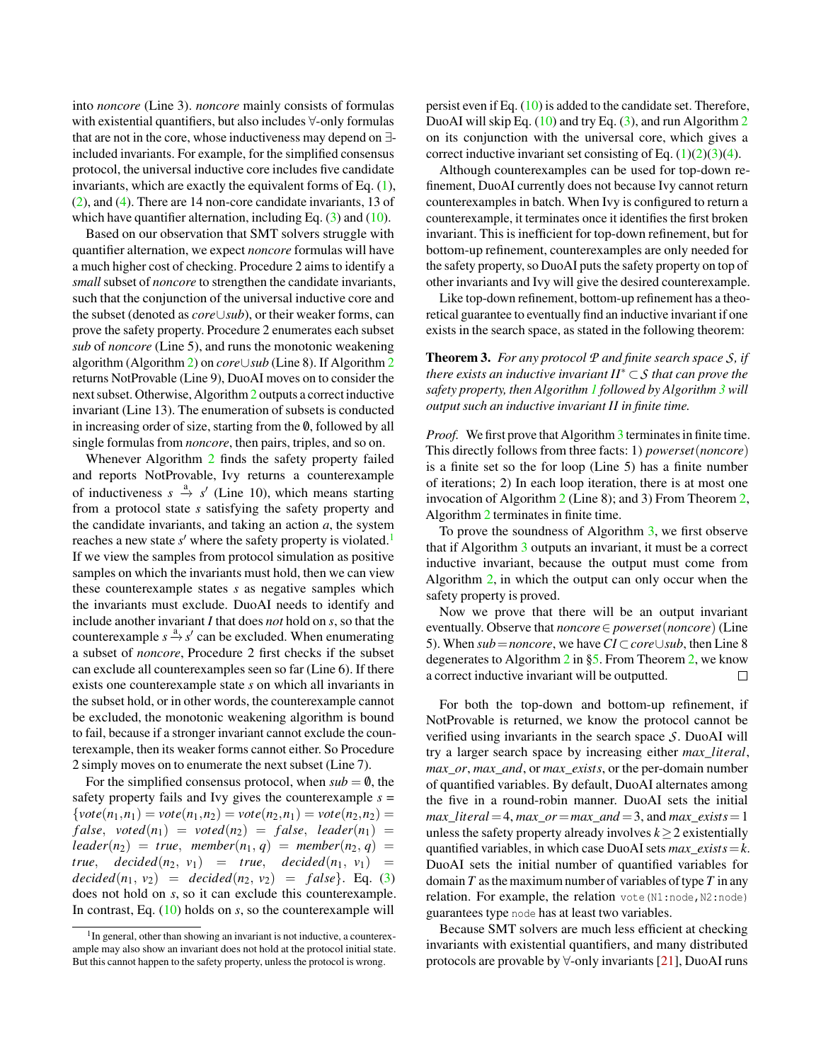into *noncore* (Line 3). *noncore* mainly consists of formulas with existential quantifiers, but also includes ∀-only formulas that are not in the core, whose inductiveness may depend on ∃ included invariants. For example, for the simplified consensus protocol, the universal inductive core includes five candidate invariants, which are exactly the equivalent forms of Eq. [\(1\)](#page-2-1), [\(2\)](#page-2-2), and [\(4\)](#page-2-4). There are 14 non-core candidate invariants, 13 of which have quantifier alternation, including Eq.  $(3)$  and  $(10)$ .

Based on our observation that SMT solvers struggle with quantifier alternation, we expect *noncore* formulas will have a much higher cost of checking. Procedure 2 aims to identify a *small* subset of *noncore* to strengthen the candidate invariants, such that the conjunction of the universal inductive core and the subset (denoted as *core*∪*sub*), or their weaker forms, can prove the safety property. Procedure 2 enumerates each subset *sub* of *noncore* (Line 5), and runs the monotonic weakening algorithm (Algorithm [2\)](#page-6-1) on *core*∪*sub* (Line 8). If Algorithm [2](#page-6-1) returns NotProvable (Line 9), DuoAI moves on to consider the next subset. Otherwise, Algorithm [2](#page-6-1) outputs a correct inductive invariant (Line 13). The enumeration of subsets is conducted in increasing order of size, starting from the  $\emptyset$ , followed by all single formulas from *noncore*, then pairs, triples, and so on.

Whenever Algorithm [2](#page-6-1) finds the safety property failed and reports NotProvable, Ivy returns a counterexample of inductiveness  $s \stackrel{a}{\rightarrow} s'$  (Line 10), which means starting from a protocol state *s* satisfying the safety property and the candidate invariants, and taking an action *a*, the system reaches a new state s' where the safety property is violated.<sup>[1](#page-8-0)</sup> If we view the samples from protocol simulation as positive samples on which the invariants must hold, then we can view these counterexample states *s* as negative samples which the invariants must exclude. DuoAI needs to identify and include another invariant *I* that does *not* hold on *s*, so that the counterexample  $s \stackrel{a}{\rightarrow} s'$  can be excluded. When enumerating a subset of *noncore*, Procedure 2 first checks if the subset can exclude all counterexamples seen so far (Line 6). If there exists one counterexample state *s* on which all invariants in the subset hold, or in other words, the counterexample cannot be excluded, the monotonic weakening algorithm is bound to fail, because if a stronger invariant cannot exclude the counterexample, then its weaker forms cannot either. So Procedure 2 simply moves on to enumerate the next subset (Line 7).

For the simplified consensus protocol, when  $sub = 0$ , the safety property fails and Ivy gives the counterexample  $s =$  ${\}$ *vote*( $n_1, n_1$ ) = *vote*( $n_1, n_2$ ) = *vote*( $n_2, n_1$ ) = *vote*( $n_2, n_2$ ) =  $false, \, \, \text{voted}(n_1) \, = \, \text{voted}(n_2) \, = \, \text{false}, \, \, \text{leader}(n_1) \, = \,$  $\text{leader}(n_2) = \text{true}, \text{member}(n_1, q) = \text{member}(n_2, q) =$ *true*,  $decided(n_2, v_1) = true, decided(n_1, v_1) =$ *decided*( $n_1, v_2$ ) = *decided*( $n_2, v_2$ ) = *f alse*}. Eq. [\(3\)](#page-2-3) does not hold on *s*, so it can exclude this counterexample. In contrast, Eq. [\(10\)](#page-7-1) holds on *s*, so the counterexample will

persist even if Eq. [\(10\)](#page-7-1) is added to the candidate set. Therefore, DuoAI will skip Eq. [\(10\)](#page-7-1) and try Eq. [\(3\)](#page-2-3), and run Algorithm [2](#page-6-1) on its conjunction with the universal core, which gives a correct inductive invariant set consisting of Eq.  $(1)(2)(3)(4)$  $(1)(2)(3)(4)$  $(1)(2)(3)(4)$  $(1)(2)(3)(4)$ .

Although counterexamples can be used for top-down refinement, DuoAI currently does not because Ivy cannot return counterexamples in batch. When Ivy is configured to return a counterexample, it terminates once it identifies the first broken invariant. This is inefficient for top-down refinement, but for bottom-up refinement, counterexamples are only needed for the safety property, so DuoAI puts the safety property on top of other invariants and Ivy will give the desired counterexample.

Like top-down refinement, bottom-up refinement has a theoretical guarantee to eventually find an inductive invariant if one exists in the search space, as stated in the following theorem:

Theorem 3. *For any protocol P and finite search space S, if there exists an inductive invariant II*<sup>∗</sup> ⊂*S that can prove the safety property, then Algorithm [1](#page-5-0) followed by Algorithm [3](#page-7-2) will output such an inductive invariant II in finite time.*

*Proof.* We first prove that Algorithm [3](#page-7-2) terminates in finite time. This directly follows from three facts: 1) *powerset*(*noncore*) is a finite set so the for loop (Line 5) has a finite number of iterations; 2) In each loop iteration, there is at most one invocation of Algorithm [2](#page-6-1) (Line 8); and 3) From Theorem [2,](#page-6-2) Algorithm [2](#page-6-1) terminates in finite time.

To prove the soundness of Algorithm [3,](#page-7-2) we first observe that if Algorithm [3](#page-7-2) outputs an invariant, it must be a correct inductive invariant, because the output must come from Algorithm [2,](#page-6-1) in which the output can only occur when the safety property is proved.

Now we prove that there will be an output invariant eventually. Observe that *noncore*∈ *powerset*(*noncore*) (Line 5). When *sub*=*noncore*, we have*CI* ⊂*core*∪*sub*, then Line 8 degenerates to Algorithm [2](#page-6-1) in [§5.](#page-6-3) From Theorem [2,](#page-6-2) we know a correct inductive invariant will be outputted.  $\Box$ 

For both the top-down and bottom-up refinement, if NotProvable is returned, we know the protocol cannot be verified using invariants in the search space *S*. DuoAI will try a larger search space by increasing either *max*\_*literal*, *max*\_*or*, *max*\_*and*, or *max*\_*exists*, or the per-domain number of quantified variables. By default, DuoAI alternates among the five in a round-robin manner. DuoAI sets the initial  $max$ <sup> $line{1}$ </sup> $i$ *teral* = 4,  $max$ <sup> $i$ </sup> $or$  =  $max$ <sup> $i$ </sup> $and$  = 3, and  $max$ <sup> $i$ </sup> $exists$  = 1 unless the safety property already involves  $k \geq 2$  existentially quantified variables, in which case DuoAI sets *max*\_*exists*=*k*. DuoAI sets the initial number of quantified variables for domain *T* as the maximum number of variables of type *T* in any relation. For example, the relation vote(N1:node,N2:node) guarantees type node has at least two variables.

Because SMT solvers are much less efficient at checking invariants with existential quantifiers, and many distributed protocols are provable by  $\forall$ -only invariants [\[21\]](#page-15-1), DuoAI runs

<span id="page-8-0"></span><sup>&</sup>lt;sup>1</sup>In general, other than showing an invariant is not inductive, a counterexample may also show an invariant does not hold at the protocol initial state. But this cannot happen to the safety property, unless the protocol is wrong.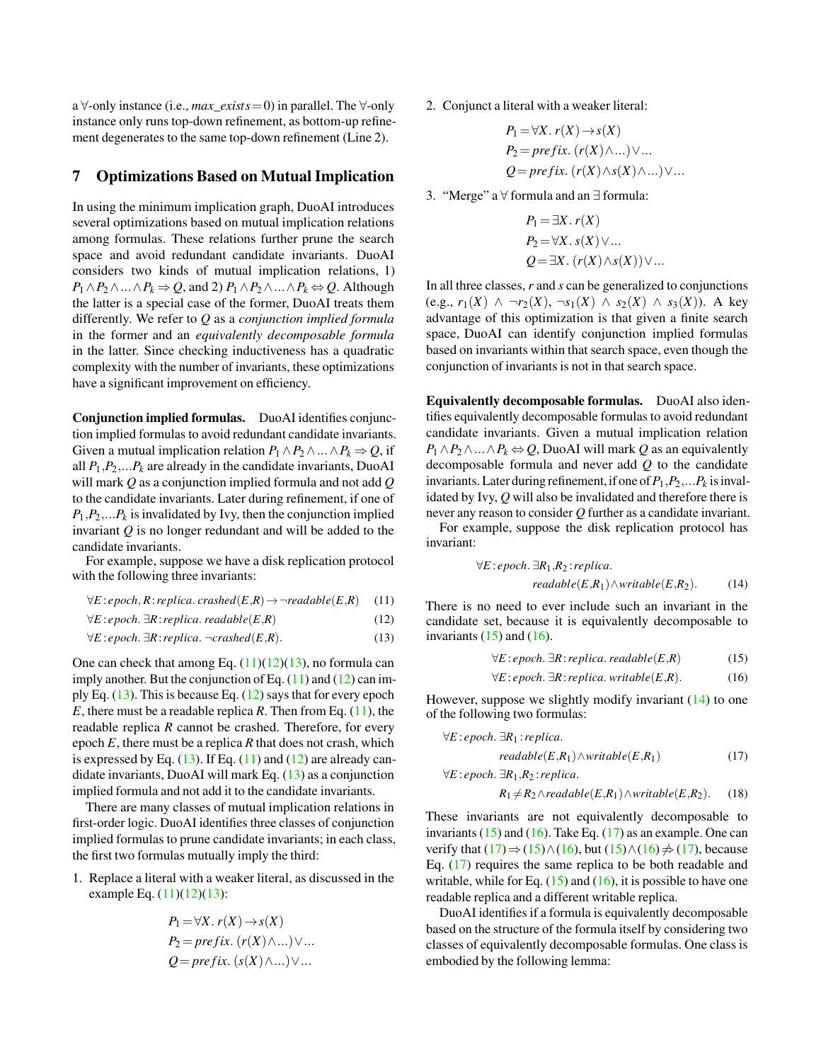a ∀-only instance (i.e., *max*\_*exists*=0) in parallel. The ∀-only instance only runs top-down refinement, as bottom-up refinement degenerates to the same top-down refinement (Line 2).

### 7 Optimizations Based on Mutual Implication

In using the minimum implication graph, DuoAI introduces several optimizations based on mutual implication relations among formulas. These relations further prune the search space and avoid redundant candidate invariants. DuoAI considers two kinds of mutual implication relations, 1) *P*<sub>1</sub> ∧*P*<sub>2</sub>∧...∧*P*<sub>*k*</sub>  $\Rightarrow$  *Q*, and 2) *P*<sub>1</sub> ∧*P*<sub>2</sub>∧...∧*P*<sub>*k*</sub>  $\Leftrightarrow$  *Q*. Although the latter is a special case of the former, DuoAI treats them differently. We refer to *Q* as a *conjunction implied formula* in the former and an *equivalently decomposable formula* in the latter. Since checking inductiveness has a quadratic complexity with the number of invariants, these optimizations have a significant improvement on efficiency.

Conjunction implied formulas. DuoAI identifies conjunction implied formulas to avoid redundant candidate invariants. Given a mutual implication relation  $P_1 \wedge P_2 \wedge ... \wedge P_k \Rightarrow Q$ , if all  $P_1$ ,  $P_2$ , ...,  $P_k$  are already in the candidate invariants, DuoAI will mark *Q* as a conjunction implied formula and not add *Q* to the candidate invariants. Later during refinement, if one of  $P_1$ ,  $P_2$ ,  $\ldots$   $P_k$  is invalidated by Ivy, then the conjunction implied invariant *Q* is no longer redundant and will be added to the candidate invariants.

For example, suppose we have a disk replication protocol with the following three invariants:

$$
\forall E: epoch, R: replica. \,crashed(E,R) \rightarrow \neg readable(E,R) \quad (11)
$$

$$
\forall E: epoch. \ \exists R: replica. \ readable(E,R) \tag{12}
$$

$$
\forall E: epoch. \exists R: replica. \neg crashed(E,R). \tag{13}
$$

One can check that among Eq.  $(11)(12)(13)$  $(11)(12)(13)$  $(11)(12)(13)$ , no formula can imply another. But the conjunction of Eq.  $(11)$  and  $(12)$  can imply Eq.  $(13)$ . This is because Eq.  $(12)$  says that for every epoch *E*, there must be a readable replica *R*. Then from Eq.  $(11)$ , the readable replica *R* cannot be crashed. Therefore, for every epoch *E*, there must be a replica *R* that does not crash, which is expressed by Eq.  $(13)$ . If Eq.  $(11)$  and  $(12)$  are already candidate invariants, DuoAI will mark Eq. [\(13\)](#page-9-2) as a conjunction implied formula and not add it to the candidate invariants.

There are many classes of mutual implication relations in first-order logic. DuoAI identifies three classes of conjunction implied formulas to prune candidate invariants; in each class, the first two formulas mutually imply the third:

1. Replace a literal with a weaker literal, as discussed in the example Eq.  $(11)(12)(13)$  $(11)(12)(13)$  $(11)(12)(13)$ :

$$
P_1 = \forall X. r(X) \rightarrow s(X)
$$
  
\n
$$
P_2 = prefix. (r(X) \land ...) \lor ...
$$
  
\n
$$
Q = prefix. (s(X) \land ...) \lor ...
$$

2. Conjunct a literal with a weaker literal:

$$
P_1 = \forall X. r(X) \rightarrow s(X)
$$
  
\n
$$
P_2 = prefix. (r(X) \land ...) \lor ...
$$
  
\n
$$
Q = prefix. (r(X) \land s(X) \land ...) \lor ...
$$

3. "Merge" a ∀ formula and an ∃ formula:

$$
P_1 = \exists X. r(X)
$$
  
\n
$$
P_2 = \forall X. s(X) \lor ...
$$
  
\n
$$
Q = \exists X. (r(X) \land s(X)) \lor ...
$$

In all three classes, *r* and *s* can be generalized to conjunctions (e.g.,  $r_1(X)$  ∧ ¬ $r_2(X)$ , ¬ $s_1(X)$  ∧  $s_2(X)$  ∧  $s_3(X)$ ). A key advantage of this optimization is that given a finite search space, DuoAI can identify conjunction implied formulas based on invariants within that search space, even though the conjunction of invariants is not in that search space.

Equivalently decomposable formulas. DuoAI also identifies equivalently decomposable formulas to avoid redundant candidate invariants. Given a mutual implication relation *P*<sub>1</sub> ∧*P*<sub>2</sub> ∧... ∧*P*<sub>*k*</sub>  $\Leftrightarrow$  *Q*, DuoAI will mark *Q* as an equivalently decomposable formula and never add *Q* to the candidate invariants. Later during refinement, if one of  $P_1$ ,  $P_2$ , ...  $P_k$  is invalidated by Ivy, *Q* will also be invalidated and therefore there is never any reason to consider *Q* further as a candidate invariant.

For example, suppose the disk replication protocol has invariant:

$$
\forall E: epoch. \ \exists R_1, R_2: replica.
$$
  
readable $(E, R_1) \land \text{writeble}(E, R_2).$  (14)

<span id="page-9-2"></span><span id="page-9-1"></span><span id="page-9-0"></span>There is no need to ever include such an invariant in the candidate set, because it is equivalently decomposable to invariants  $(15)$  and  $(16)$ .

<span id="page-9-5"></span><span id="page-9-4"></span><span id="page-9-3"></span>
$$
\forall E: epoch. \ \exists R: replica. \ readable(E,R) \tag{15}
$$

$$
\forall E: epoch. \, \exists R: replica. \, \text{writable}(E,R). \tag{16}
$$

However, suppose we slightly modify invariant  $(14)$  to one of the following two formulas:

$$
\forall E: epoch. \ \exists R_1: replica. \\
readable(E,R_1) \land writtenble(E,R_1) \qquad (17)
$$
  

$$
\forall E: epoch. \ \exists R_1, R_2: replica.
$$

<span id="page-9-7"></span><span id="page-9-6"></span>
$$
R_1 \neq R_2 \land readable(E, R_1) \land writtenble(E, R_2). \tag{18}
$$

These invariants are not equivalently decomposable to invariants  $(15)$  and  $(16)$ . Take Eq.  $(17)$  as an example. One can verify that  $(17) \Rightarrow (15) \land (16)$  $(17) \Rightarrow (15) \land (16)$  $(17) \Rightarrow (15) \land (16)$  $(17) \Rightarrow (15) \land (16)$  $(17) \Rightarrow (15) \land (16)$ , but  $(15) \land (16) \neq (17)$ , because Eq. [\(17\)](#page-9-6) requires the same replica to be both readable and writable, while for Eq.  $(15)$  and  $(16)$ , it is possible to have one readable replica and a different writable replica.

DuoAI identifies if a formula is equivalently decomposable based on the structure of the formula itself by considering two classes of equivalently decomposable formulas. One class is embodied by the following lemma: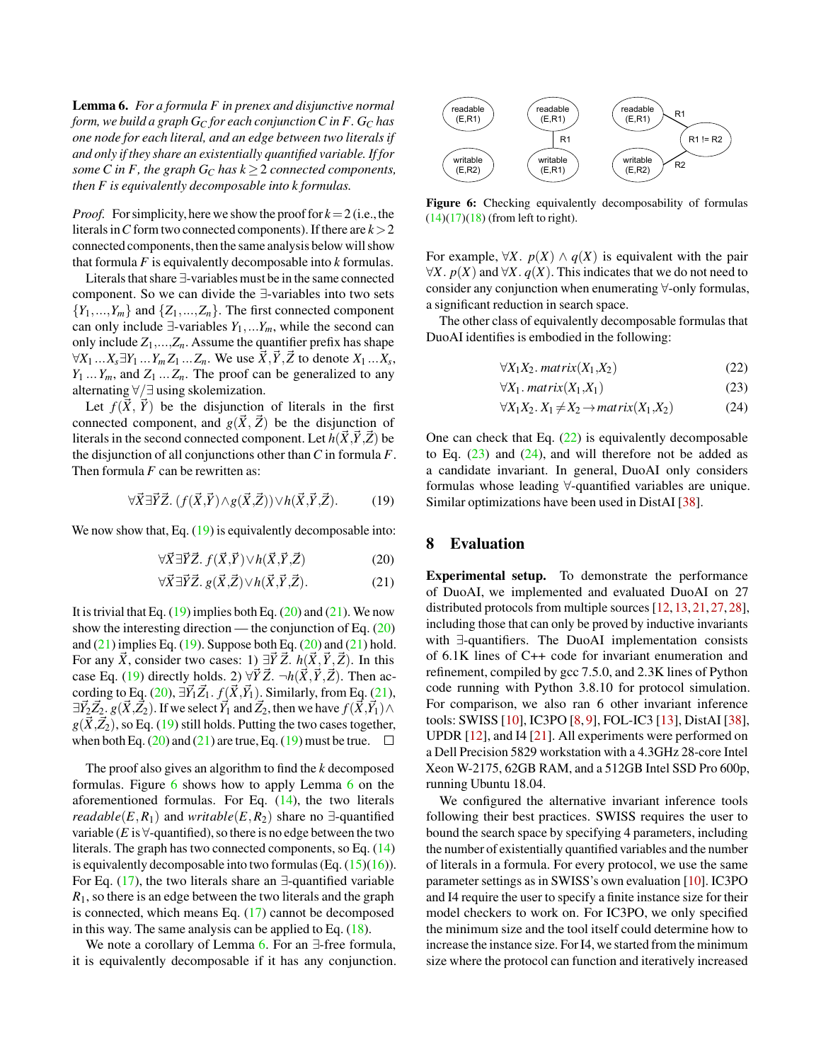<span id="page-10-5"></span>Lemma 6. *For a formula F in prenex and disjunctive normal form, we build a graph G<sup>C</sup> for each conjunctionC in F. G<sup>C</sup> has one node for each literal, and an edge between two literals if and only if they share an existentially quantified variable. If for some C* in *F*, the graph  $G_C$  has  $k \geq 2$  connected components, *then F is equivalently decomposable into k formulas.*

*Proof.* For simplicity, here we show the proof for  $k = 2$  (i.e., the literals in C form two connected components). If there are  $k > 2$ connected components, then the same analysis below will show that formula *F* is equivalently decomposable into *k* formulas.

Literals that share ∃-variables must be in the same connected component. So we can divide the ∃-variables into two sets  ${Y_1, ..., Y_m}$  and  ${Z_1, ..., Z_n}$ . The first connected component can only include  $∃$ -variables  $Y_1$ ,... $Y_m$ , while the second can only include  $Z_1$ ,..., $Z_n$ . Assume the quantifier prefix has shape  $\forall X_1 \dots X_s \exists Y_1 \dots Y_m Z_1 \dots Z_n$ . We use  $\vec{X}, \vec{Y}, \vec{Z}$  to denote  $X_1 \dots X_s$ ,  $Y_1 \ldots Y_m$ , and  $Z_1 \ldots Z_n$ . The proof can be generalized to any alternating ∀/∃ using skolemization.

Let  $f(\vec{X}, \vec{Y})$  be the disjunction of literals in the first connected component, and  $g(\vec{X}, \vec{Z})$  be the disjunction of literals in the second connected component. Let  $h(\overline{X}, \overline{Y}, \overline{Z})$  be the disjunction of all conjunctions other than*C* in formula *F*. Then formula *F* can be rewritten as:

$$
\forall \vec{X} \exists \vec{Y} \vec{Z}. (f(\vec{X}, \vec{Y}) \land g(\vec{X}, \vec{Z})) \lor h(\vec{X}, \vec{Y}, \vec{Z}). \tag{19}
$$

We now show that, Eq.  $(19)$  is equivalently decomposable into:

$$
\forall \vec{X} \exists \vec{Y} \vec{Z}.\ f(\vec{X}, \vec{Y}) \lor h(\vec{X}, \vec{Y}, \vec{Z}) \tag{20}
$$

$$
\forall \vec{X} \exists \vec{Y} \vec{Z}. \ g(\vec{X}, \vec{Z}) \lor h(\vec{X}, \vec{Y}, \vec{Z}). \tag{21}
$$

It is trivial that Eq.  $(19)$  implies both Eq.  $(20)$  and  $(21)$ . We now show the interesting direction — the conjunction of Eq.  $(20)$ and  $(21)$  implies Eq.  $(19)$ . Suppose both Eq.  $(20)$  and  $(21)$  hold. For any  $\vec{X}$ , consider two cases: 1)  $\exists \vec{Y} \vec{Z}$ .  $h(\vec{X}, \vec{Y}, \vec{Z})$ . In this case Eq. [\(19\)](#page-10-1) directly holds. 2)  $\forall \vec{Y} \vec{Z}$ .  $\neg h(\vec{X}, \vec{Y}, \vec{Z})$ . Then ac-cording to Eq. [\(20\)](#page-10-2),  $\exists \vec{Y}_1 \vec{Z}_1$ .  $f(\vec{X}, \vec{Y}_1)$ . Similarly, from Eq. [\(21\)](#page-10-3),  $\exists \vec{Y}_2 \vec{Z}_2$ . *g*( $(\vec{X}, \vec{Z}_2)$ ). If we select  $\vec{Y}_1$  and  $\vec{Z}_2$ , then we have  $f(\vec{X}, \vec{Y}_1) \wedge f(\vec{Z}_2)$  $g(\vec{X}, \vec{Z_2})$ , so Eq. [\(19\)](#page-10-1) still holds. Putting the two cases together, when both Eq. [\(20\)](#page-10-2) and [\(21\)](#page-10-3) are true, Eq. [\(19\)](#page-10-1) must be true.  $\square$ 

The proof also gives an algorithm to find the *k* decomposed formulas. Figure [6](#page-10-4) shows how to apply Lemma [6](#page-10-5) on the aforementioned formulas. For Eq. [\(14\)](#page-9-5), the two literals *readable*(*E*,*R*<sub>1</sub>) and *writable*(*E*,*R*<sub>2</sub>) share no  $\exists$ -quantified variable ( $E$  is  $\forall$ -quantified), so there is no edge between the two literals. The graph has two connected components, so Eq. [\(14\)](#page-9-5) is equivalently decomposable into two formulas (Eq.  $(15)(16)$  $(15)(16)$ ). For Eq. [\(17\)](#page-9-6), the two literals share an  $\exists$ -quantified variable *R*1, so there is an edge between the two literals and the graph is connected, which means Eq. [\(17\)](#page-9-6) cannot be decomposed in this way. The same analysis can be applied to Eq. [\(18\)](#page-9-7).

We note a corollary of Lemma [6.](#page-10-5) For an ∃-free formula, it is equivalently decomposable if it has any conjunction.

<span id="page-10-4"></span>

Figure 6: Checking equivalently decomposability of formulas  $(14)(17)(18)$  $(14)(17)(18)$  $(14)(17)(18)$  (from left to right).

For example,  $\forall X$ .  $p(X) \land q(X)$  is equivalent with the pair ∀*X*.  $p(X)$  and ∀*X*.  $q(X)$ . This indicates that we do not need to consider any conjunction when enumerating ∀-only formulas, a significant reduction in search space.

The other class of equivalently decomposable formulas that DuoAI identifies is embodied in the following:

<span id="page-10-7"></span><span id="page-10-6"></span>
$$
\forall X_1 X_2.\,matrix(X_1,X_2)\tag{22}
$$

$$
\forall X_1.\,matrix(X_1,X_1)\tag{23}
$$

<span id="page-10-8"></span>
$$
\forall X_1 X_2. X_1 \neq X_2 \rightarrow matrix(X_1, X_2) \tag{24}
$$

<span id="page-10-1"></span>One can check that Eq.  $(22)$  is equivalently decomposable to Eq.  $(23)$  and  $(24)$ , and will therefore not be added as a candidate invariant. In general, DuoAI only considers formulas whose leading ∀-quantified variables are unique. Similar optimizations have been used in DistAI [\[38\]](#page-15-2).

### <span id="page-10-2"></span><span id="page-10-0"></span>8 Evaluation

<span id="page-10-3"></span>Experimental setup. To demonstrate the performance of DuoAI, we implemented and evaluated DuoAI on 27 distributed protocols from multiple sources [\[12,](#page-14-5) [13,](#page-14-2) [21,](#page-15-1) [27,](#page-15-3) [28\]](#page-15-4), including those that can only be proved by inductive invariants with ∃-quantifiers. The DuoAI implementation consists of 6.1K lines of C++ code for invariant enumeration and refinement, compiled by gcc 7.5.0, and 2.3K lines of Python code running with Python 3.8.10 for protocol simulation. For comparison, we also ran 6 other invariant inference tools: SWISS [\[10\]](#page-14-3), IC3PO [\[8,](#page-14-6) [9\]](#page-14-7), FOL-IC3 [\[13\]](#page-14-2), DistAI [\[38\]](#page-15-2), UPDR [\[12\]](#page-14-5), and I4 [\[21\]](#page-15-1). All experiments were performed on a Dell Precision 5829 workstation with a 4.3GHz 28-core Intel Xeon W-2175, 62GB RAM, and a 512GB Intel SSD Pro 600p, running Ubuntu 18.04.

We configured the alternative invariant inference tools following their best practices. SWISS requires the user to bound the search space by specifying 4 parameters, including the number of existentially quantified variables and the number of literals in a formula. For every protocol, we use the same parameter settings as in SWISS's own evaluation [\[10\]](#page-14-3). IC3PO and I4 require the user to specify a finite instance size for their model checkers to work on. For IC3PO, we only specified the minimum size and the tool itself could determine how to increase the instance size. For I4, we started from the minimum size where the protocol can function and iteratively increased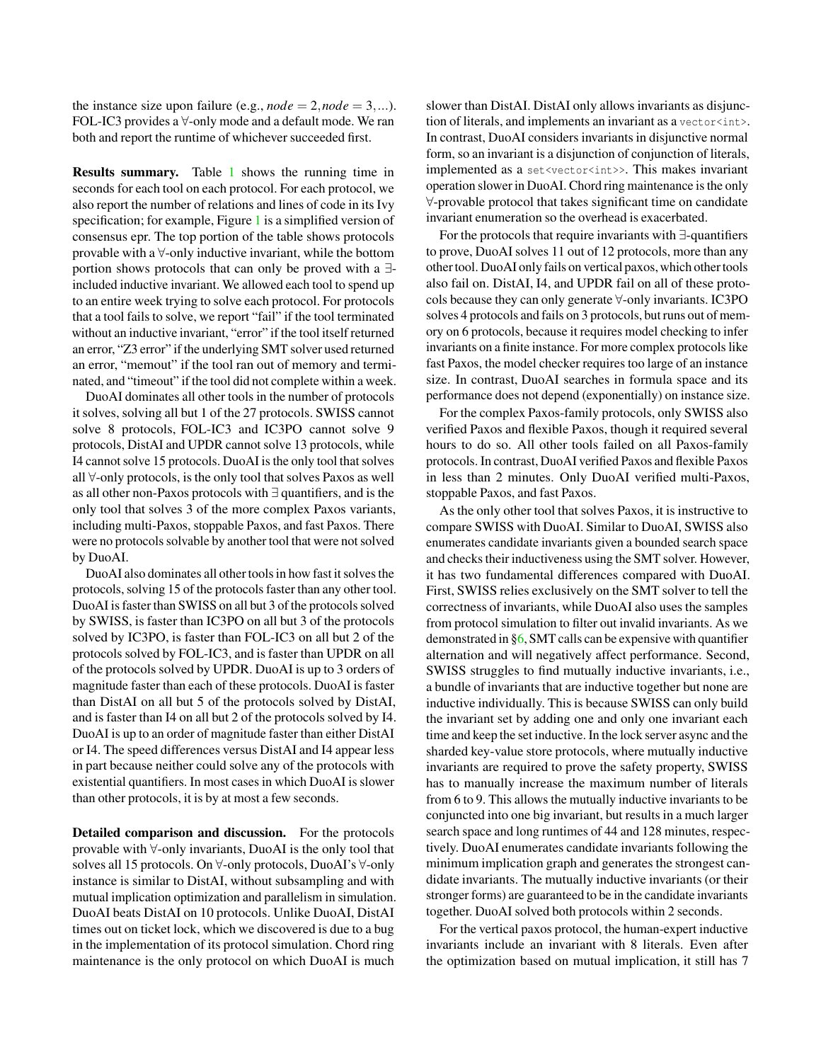the instance size upon failure (e.g.,  $node = 2, node = 3, ...$ ). FOL-IC3 provides a ∀-only mode and a default mode. We ran both and report the runtime of whichever succeeded first.

Results summary. Table [1](#page-12-0) shows the running time in seconds for each tool on each protocol. For each protocol, we also report the number of relations and lines of code in its Ivy specification; for example, Figure [1](#page-1-0) is a simplified version of consensus epr. The top portion of the table shows protocols provable with a ∀-only inductive invariant, while the bottom portion shows protocols that can only be proved with a ∃ included inductive invariant. We allowed each tool to spend up to an entire week trying to solve each protocol. For protocols that a tool fails to solve, we report "fail" if the tool terminated without an inductive invariant, "error" if the tool itself returned an error, "Z3 error" if the underlying SMT solver used returned an error, "memout" if the tool ran out of memory and terminated, and "timeout" if the tool did not complete within a week.

DuoAI dominates all other tools in the number of protocols it solves, solving all but 1 of the 27 protocols. SWISS cannot solve 8 protocols, FOL-IC3 and IC3PO cannot solve 9 protocols, DistAI and UPDR cannot solve 13 protocols, while I4 cannot solve 15 protocols. DuoAI is the only tool that solves all ∀-only protocols, is the only tool that solves Paxos as well as all other non-Paxos protocols with ∃ quantifiers, and is the only tool that solves 3 of the more complex Paxos variants, including multi-Paxos, stoppable Paxos, and fast Paxos. There were no protocols solvable by another tool that were not solved by DuoAI.

DuoAI also dominates all other tools in how fast it solves the protocols, solving 15 of the protocols faster than any other tool. DuoAI is faster than SWISS on all but 3 of the protocols solved by SWISS, is faster than IC3PO on all but 3 of the protocols solved by IC3PO, is faster than FOL-IC3 on all but 2 of the protocols solved by FOL-IC3, and is faster than UPDR on all of the protocols solved by UPDR. DuoAI is up to 3 orders of magnitude faster than each of these protocols. DuoAI is faster than DistAI on all but 5 of the protocols solved by DistAI, and is faster than I4 on all but 2 of the protocols solved by I4. DuoAI is up to an order of magnitude faster than either DistAI or I4. The speed differences versus DistAI and I4 appear less in part because neither could solve any of the protocols with existential quantifiers. In most cases in which DuoAI is slower than other protocols, it is by at most a few seconds.

Detailed comparison and discussion. For the protocols provable with ∀-only invariants, DuoAI is the only tool that solves all 15 protocols. On ∀-only protocols, DuoAI's ∀-only instance is similar to DistAI, without subsampling and with mutual implication optimization and parallelism in simulation. DuoAI beats DistAI on 10 protocols. Unlike DuoAI, DistAI times out on ticket lock, which we discovered is due to a bug in the implementation of its protocol simulation. Chord ring maintenance is the only protocol on which DuoAI is much

slower than DistAI. DistAI only allows invariants as disjunction of literals, and implements an invariant as a vector<int>. In contrast, DuoAI considers invariants in disjunctive normal form, so an invariant is a disjunction of conjunction of literals, implemented as a set<vector<int>>. This makes invariant operation slower in DuoAI. Chord ring maintenance is the only ∀-provable protocol that takes significant time on candidate invariant enumeration so the overhead is exacerbated.

For the protocols that require invariants with ∃-quantifiers to prove, DuoAI solves 11 out of 12 protocols, more than any other tool. DuoAI only fails on vertical paxos, which other tools also fail on. DistAI, I4, and UPDR fail on all of these protocols because they can only generate ∀-only invariants. IC3PO solves 4 protocols and fails on 3 protocols, but runs out of memory on 6 protocols, because it requires model checking to infer invariants on a finite instance. For more complex protocols like fast Paxos, the model checker requires too large of an instance size. In contrast, DuoAI searches in formula space and its performance does not depend (exponentially) on instance size.

For the complex Paxos-family protocols, only SWISS also verified Paxos and flexible Paxos, though it required several hours to do so. All other tools failed on all Paxos-family protocols. In contrast, DuoAI verified Paxos and flexible Paxos in less than 2 minutes. Only DuoAI verified multi-Paxos, stoppable Paxos, and fast Paxos.

As the only other tool that solves Paxos, it is instructive to compare SWISS with DuoAI. Similar to DuoAI, SWISS also enumerates candidate invariants given a bounded search space and checks their inductiveness using the SMT solver. However, it has two fundamental differences compared with DuoAI. First, SWISS relies exclusively on the SMT solver to tell the correctness of invariants, while DuoAI also uses the samples from protocol simulation to filter out invalid invariants. As we demonstrated in [§6,](#page-7-3) SMT calls can be expensive with quantifier alternation and will negatively affect performance. Second, SWISS struggles to find mutually inductive invariants, i.e., a bundle of invariants that are inductive together but none are inductive individually. This is because SWISS can only build the invariant set by adding one and only one invariant each time and keep the set inductive. In the lock server async and the sharded key-value store protocols, where mutually inductive invariants are required to prove the safety property, SWISS has to manually increase the maximum number of literals from 6 to 9. This allows the mutually inductive invariants to be conjuncted into one big invariant, but results in a much larger search space and long runtimes of 44 and 128 minutes, respectively. DuoAI enumerates candidate invariants following the minimum implication graph and generates the strongest candidate invariants. The mutually inductive invariants (or their stronger forms) are guaranteed to be in the candidate invariants together. DuoAI solved both protocols within 2 seconds.

For the vertical paxos protocol, the human-expert inductive invariants include an invariant with 8 literals. Even after the optimization based on mutual implication, it still has 7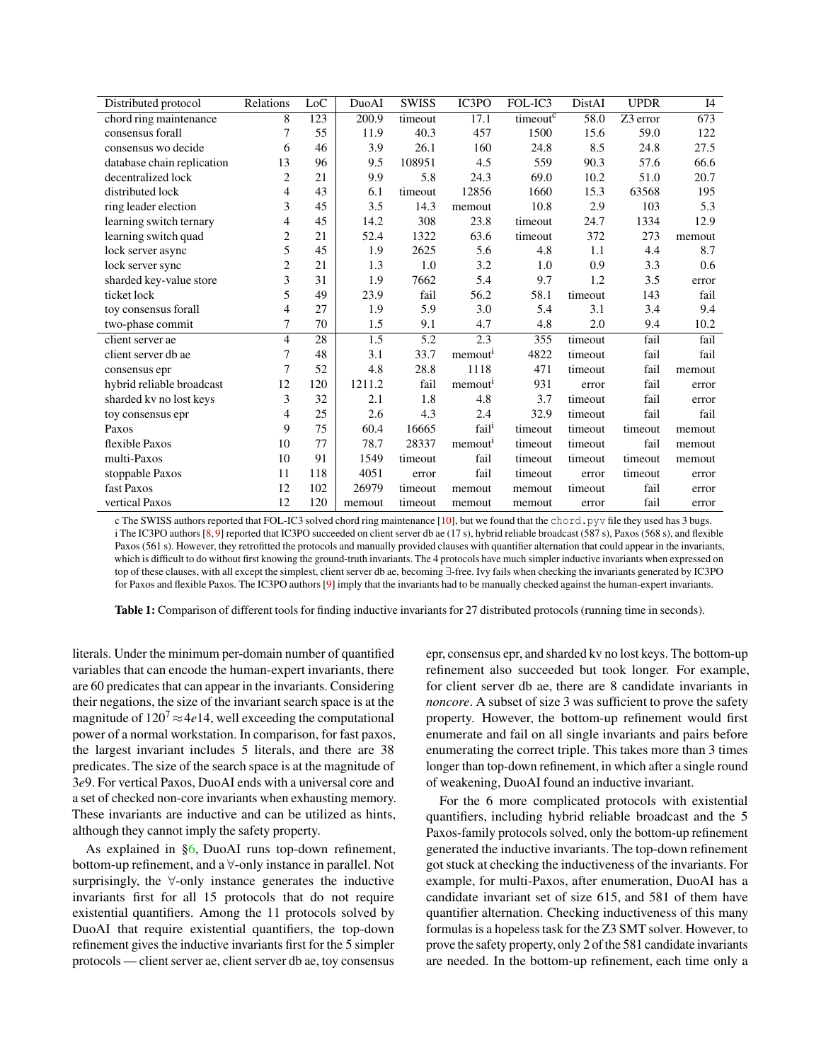<span id="page-12-0"></span>

| Distributed protocol       | Relations      | Loc | DuoAI  | <b>SWISS</b> | IC3PO               | FOL-IC3  | DistAI  | <b>UPDR</b> | I4     |
|----------------------------|----------------|-----|--------|--------------|---------------------|----------|---------|-------------|--------|
| chord ring maintenance     | 8              | 123 | 200.9  | timeout      | 17.1                | timeoutc | 58.0    | Z3 error    | 673    |
| consensus forall           | 7              | 55  | 11.9   | 40.3         | 457                 | 1500     | 15.6    | 59.0        | 122    |
| consensus wo decide        | 6              | 46  | 3.9    | 26.1         | 160                 | 24.8     | 8.5     | 24.8        | 27.5   |
| database chain replication | 13             | 96  | 9.5    | 108951       | 4.5                 | 559      | 90.3    | 57.6        | 66.6   |
| decentralized lock         | $\overline{2}$ | 21  | 9.9    | 5.8          | 24.3                | 69.0     | 10.2    | 51.0        | 20.7   |
| distributed lock           | 4              | 43  | 6.1    | timeout      | 12856               | 1660     | 15.3    | 63568       | 195    |
| ring leader election       | 3              | 45  | 3.5    | 14.3         | memout              | 10.8     | 2.9     | 103         | 5.3    |
| learning switch ternary    | 4              | 45  | 14.2   | 308          | 23.8                | timeout  | 24.7    | 1334        | 12.9   |
| learning switch quad       | $\overline{c}$ | 21  | 52.4   | 1322         | 63.6                | timeout  | 372     | 273         | memout |
| lock server async          | 5              | 45  | 1.9    | 2625         | 5.6                 | 4.8      | 1.1     | 4.4         | 8.7    |
| lock server sync           | $\overline{2}$ | 21  | 1.3    | 1.0          | 3.2                 | 1.0      | 0.9     | 3.3         | 0.6    |
| sharded key-value store    | 3              | 31  | 1.9    | 7662         | 5.4                 | 9.7      | 1.2     | 3.5         | error  |
| ticket lock                | 5              | 49  | 23.9   | fail         | 56.2                | 58.1     | timeout | 143         | fail   |
| toy consensus forall       | 4              | 27  | 1.9    | 5.9          | 3.0                 | 5.4      | 3.1     | 3.4         | 9.4    |
| two-phase commit           | 7              | 70  | 1.5    | 9.1          | 4.7                 | 4.8      | 2.0     | 9.4         | 10.2   |
| client server ae           | $\overline{4}$ | 28  | 1.5    | 5.2          | 2.3                 | 355      | timeout | fail        | fail   |
| client server db ae        | 7              | 48  | 3.1    | 33.7         | memout <sup>1</sup> | 4822     | timeout | fail        | fail   |
| consensus epr              | 7              | 52  | 4.8    | 28.8         | 1118                | 471      | timeout | fail        | memout |
| hybrid reliable broadcast  | 12             | 120 | 1211.2 | fail         | memout <sup>1</sup> | 931      | error   | fail        | error  |
| sharded kv no lost keys    | 3              | 32  | 2.1    | 1.8          | 4.8                 | 3.7      | timeout | fail        | error  |
| toy consensus epr          | 4              | 25  | 2.6    | 4.3          | 2.4                 | 32.9     | timeout | fail        | fail   |
| Paxos                      | 9              | 75  | 60.4   | 16665        | fail <sup>i</sup>   | timeout  | timeout | timeout     | memout |
| flexible Paxos             | 10             | 77  | 78.7   | 28337        | memout <sup>1</sup> | timeout  | timeout | fail        | memout |
| multi-Paxos                | 10             | 91  | 1549   | timeout      | fail                | timeout  | timeout | timeout     | memout |
| stoppable Paxos            | 11             | 118 | 4051   | error        | fail                | timeout  | error   | timeout     | error  |
| fast Paxos                 | 12             | 102 | 26979  | timeout      | memout              | memout   | timeout | fail        | error  |
| vertical Paxos             | 12             | 120 | memout | timeout      | memout              | memout   | error   | fail        | error  |

c The SWISS authors reported that FOL-IC3 solved chord ring maintenance [\[10\]](#page-14-3), but we found that the chord.pyv file they used has 3 bugs. i The IC3PO authors [\[8,](#page-14-6) [9\]](#page-14-7) reported that IC3PO succeeded on client server db ae (17 s), hybrid reliable broadcast (587 s), Paxos (568 s), and flexible Paxos (561 s). However, they retrofitted the protocols and manually provided clauses with quantifier alternation that could appear in the invariants, which is difficult to do without first knowing the ground-truth invariants. The 4 protocols have much simpler inductive invariants when expressed on top of these clauses, with all except the simplest, client server db ae, becoming ∃-free. Ivy fails when checking the invariants generated by IC3PO for Paxos and flexible Paxos. The IC3PO authors [\[9\]](#page-14-7) imply that the invariants had to be manually checked against the human-expert invariants.

Table 1: Comparison of different tools for finding inductive invariants for 27 distributed protocols (running time in seconds).

literals. Under the minimum per-domain number of quantified variables that can encode the human-expert invariants, there are 60 predicates that can appear in the invariants. Considering their negations, the size of the invariant search space is at the magnitude of  $120^7 \approx 4e14$ , well exceeding the computational power of a normal workstation. In comparison, for fast paxos, the largest invariant includes 5 literals, and there are 38 predicates. The size of the search space is at the magnitude of 3*e*9. For vertical Paxos, DuoAI ends with a universal core and a set of checked non-core invariants when exhausting memory. These invariants are inductive and can be utilized as hints, although they cannot imply the safety property.

As explained in [§6,](#page-7-3) DuoAI runs top-down refinement, bottom-up refinement, and a ∀-only instance in parallel. Not surprisingly, the  $\forall$ -only instance generates the inductive invariants first for all 15 protocols that do not require existential quantifiers. Among the 11 protocols solved by DuoAI that require existential quantifiers, the top-down refinement gives the inductive invariants first for the 5 simpler protocols — client server ae, client server db ae, toy consensus

epr, consensus epr, and sharded kv no lost keys. The bottom-up refinement also succeeded but took longer. For example, for client server db ae, there are 8 candidate invariants in *noncore*. A subset of size 3 was sufficient to prove the safety property. However, the bottom-up refinement would first enumerate and fail on all single invariants and pairs before enumerating the correct triple. This takes more than 3 times longer than top-down refinement, in which after a single round of weakening, DuoAI found an inductive invariant.

For the 6 more complicated protocols with existential quantifiers, including hybrid reliable broadcast and the 5 Paxos-family protocols solved, only the bottom-up refinement generated the inductive invariants. The top-down refinement got stuck at checking the inductiveness of the invariants. For example, for multi-Paxos, after enumeration, DuoAI has a candidate invariant set of size 615, and 581 of them have quantifier alternation. Checking inductiveness of this many formulas is a hopeless task for the Z3 SMT solver. However, to prove the safety property, only 2 of the 581 candidate invariants are needed. In the bottom-up refinement, each time only a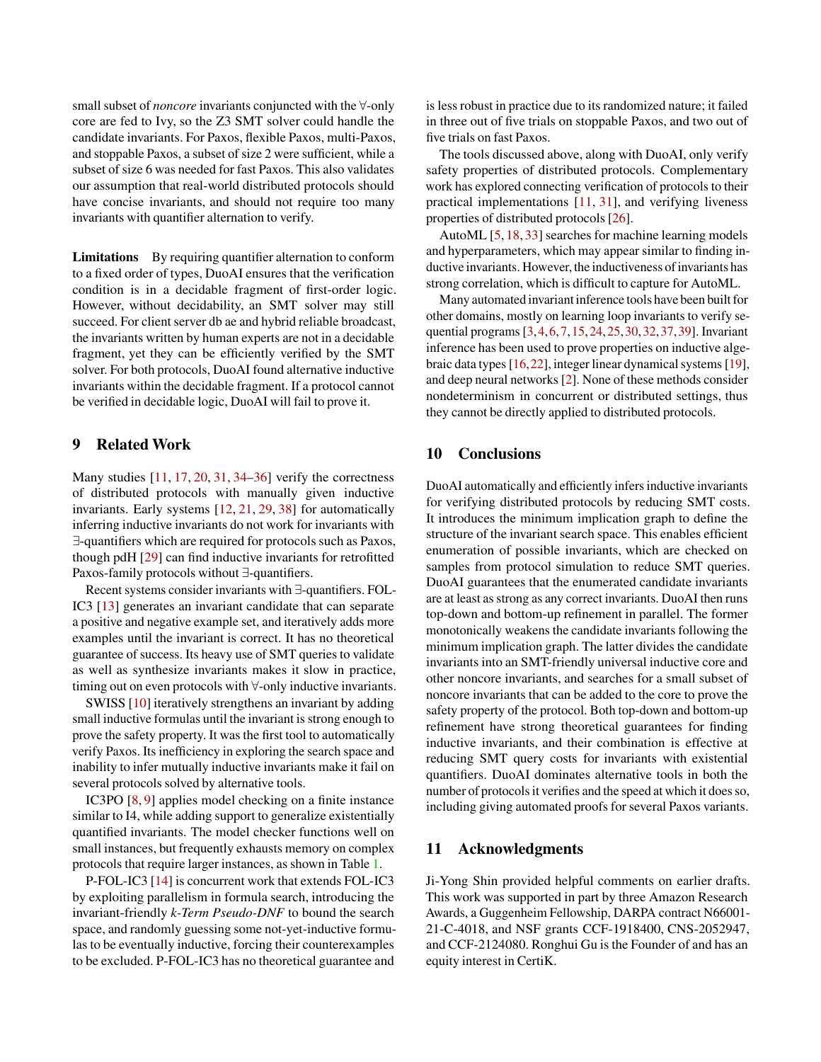small subset of *noncore* invariants conjuncted with the ∀-only core are fed to Ivy, so the Z3 SMT solver could handle the candidate invariants. For Paxos, flexible Paxos, multi-Paxos, and stoppable Paxos, a subset of size 2 were sufficient, while a subset of size 6 was needed for fast Paxos. This also validates our assumption that real-world distributed protocols should have concise invariants, and should not require too many invariants with quantifier alternation to verify.

Limitations By requiring quantifier alternation to conform to a fixed order of types, DuoAI ensures that the verification condition is in a decidable fragment of first-order logic. However, without decidability, an SMT solver may still succeed. For client server db ae and hybrid reliable broadcast, the invariants written by human experts are not in a decidable fragment, yet they can be efficiently verified by the SMT solver. For both protocols, DuoAI found alternative inductive invariants within the decidable fragment. If a protocol cannot be verified in decidable logic, DuoAI will fail to prove it.

# 9 Related Work

Many studies [\[11,](#page-14-0) [17,](#page-14-8) [20,](#page-14-1) [31,](#page-15-6) [34](#page-15-7)[–36\]](#page-15-8) verify the correctness of distributed protocols with manually given inductive invariants. Early systems [\[12,](#page-14-5) [21,](#page-15-1) [29,](#page-15-9) [38\]](#page-15-2) for automatically inferring inductive invariants do not work for invariants with ∃-quantifiers which are required for protocols such as Paxos, though pdH [\[29\]](#page-15-9) can find inductive invariants for retrofitted Paxos-family protocols without ∃-quantifiers.

Recent systems consider invariants with ∃-quantifiers. FOL-IC3 [\[13\]](#page-14-2) generates an invariant candidate that can separate a positive and negative example set, and iteratively adds more examples until the invariant is correct. It has no theoretical guarantee of success. Its heavy use of SMT queries to validate as well as synthesize invariants makes it slow in practice, timing out on even protocols with ∀-only inductive invariants.

SWISS [\[10\]](#page-14-3) iteratively strengthens an invariant by adding small inductive formulas until the invariant is strong enough to prove the safety property. It was the first tool to automatically verify Paxos. Its inefficiency in exploring the search space and inability to infer mutually inductive invariants make it fail on several protocols solved by alternative tools.

IC3PO [\[8,](#page-14-6) [9\]](#page-14-7) applies model checking on a finite instance similar to I4, while adding support to generalize existentially quantified invariants. The model checker functions well on small instances, but frequently exhausts memory on complex protocols that require larger instances, as shown in Table [1.](#page-12-0)

P-FOL-IC3 [\[14\]](#page-14-9) is concurrent work that extends FOL-IC3 by exploiting parallelism in formula search, introducing the invariant-friendly *k-Term Pseudo-DNF* to bound the search space, and randomly guessing some not-yet-inductive formulas to be eventually inductive, forcing their counterexamples to be excluded. P-FOL-IC3 has no theoretical guarantee and

is less robust in practice due to its randomized nature; it failed in three out of five trials on stoppable Paxos, and two out of five trials on fast Paxos.

The tools discussed above, along with DuoAI, only verify safety properties of distributed protocols. Complementary work has explored connecting verification of protocols to their practical implementations [\[11,](#page-14-0) [31\]](#page-15-6), and verifying liveness properties of distributed protocols [\[26\]](#page-15-10).

AutoML [\[5,](#page-14-10) [18,](#page-14-11) [33\]](#page-15-11) searches for machine learning models and hyperparameters, which may appear similar to finding inductive invariants. However, the inductiveness of invariants has strong correlation, which is difficult to capture for AutoML.

Many automated invariant inference tools have been built for other domains, mostly on learning loop invariants to verify sequential programs [\[3,](#page-14-12)[4,](#page-14-13)[6,](#page-14-14)[7,](#page-14-15)[15,](#page-14-16)[24,](#page-15-12)[25,](#page-15-13)[30,](#page-15-14)[32,](#page-15-15)[37,](#page-15-16)[39\]](#page-16-0). Invariant inference has been used to prove properties on inductive algebraic data types [\[16,](#page-14-17)[22\]](#page-15-17), integer linear dynamical systems [\[19\]](#page-14-18), and deep neural networks [\[2\]](#page-14-19). None of these methods consider nondeterminism in concurrent or distributed settings, thus they cannot be directly applied to distributed protocols.

## 10 Conclusions

DuoAI automatically and efficiently infers inductive invariants for verifying distributed protocols by reducing SMT costs. It introduces the minimum implication graph to define the structure of the invariant search space. This enables efficient enumeration of possible invariants, which are checked on samples from protocol simulation to reduce SMT queries. DuoAI guarantees that the enumerated candidate invariants are at least as strong as any correct invariants. DuoAI then runs top-down and bottom-up refinement in parallel. The former monotonically weakens the candidate invariants following the minimum implication graph. The latter divides the candidate invariants into an SMT-friendly universal inductive core and other noncore invariants, and searches for a small subset of noncore invariants that can be added to the core to prove the safety property of the protocol. Both top-down and bottom-up refinement have strong theoretical guarantees for finding inductive invariants, and their combination is effective at reducing SMT query costs for invariants with existential quantifiers. DuoAI dominates alternative tools in both the number of protocols it verifies and the speed at which it does so, including giving automated proofs for several Paxos variants.

### 11 Acknowledgments

Ji-Yong Shin provided helpful comments on earlier drafts. This work was supported in part by three Amazon Research Awards, a Guggenheim Fellowship, DARPA contract N66001- 21-C-4018, and NSF grants CCF-1918400, CNS-2052947, and CCF-2124080. Ronghui Gu is the Founder of and has an equity interest in CertiK.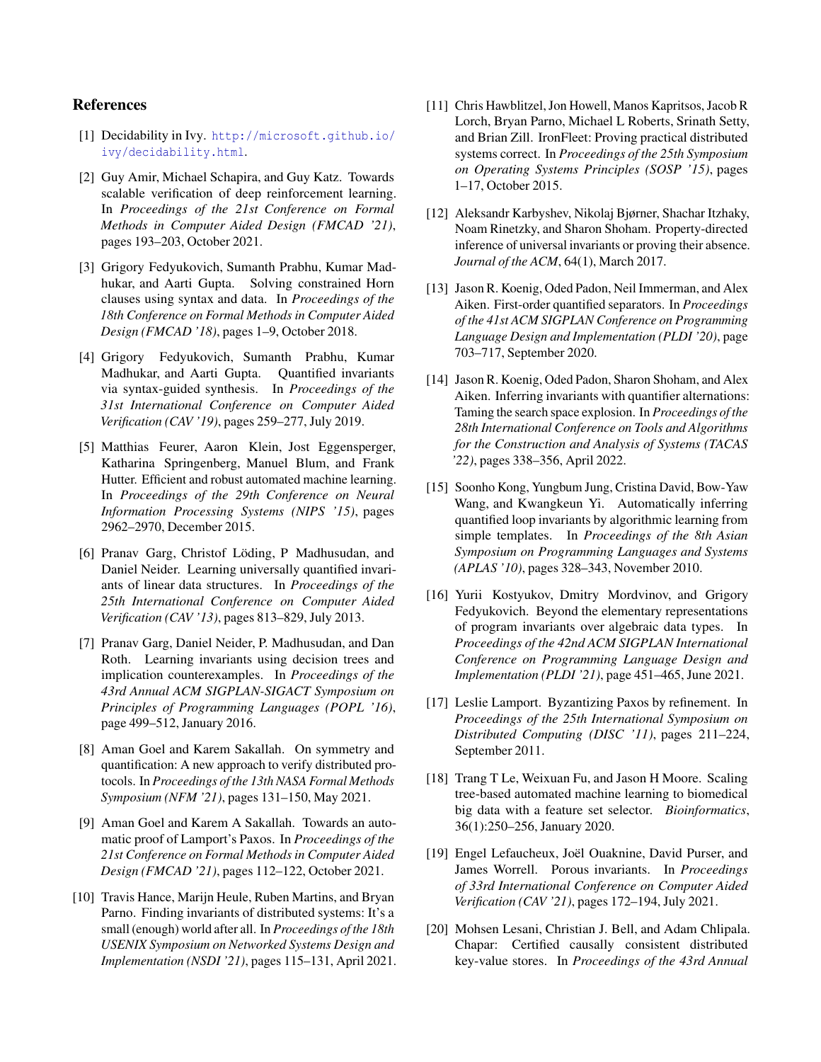# References

- <span id="page-14-4"></span>[1] Decidability in Ivy. [http://microsoft.github.io/](http://microsoft.github.io/ivy/decidability.html) [ivy/decidability.html](http://microsoft.github.io/ivy/decidability.html).
- <span id="page-14-19"></span>[2] Guy Amir, Michael Schapira, and Guy Katz. Towards scalable verification of deep reinforcement learning. In *Proceedings of the 21st Conference on Formal Methods in Computer Aided Design (FMCAD '21)*, pages 193–203, October 2021.
- <span id="page-14-12"></span>[3] Grigory Fedyukovich, Sumanth Prabhu, Kumar Madhukar, and Aarti Gupta. Solving constrained Horn clauses using syntax and data. In *Proceedings of the 18th Conference on Formal Methods in Computer Aided Design (FMCAD '18)*, pages 1–9, October 2018.
- <span id="page-14-13"></span>[4] Grigory Fedyukovich, Sumanth Prabhu, Kumar Madhukar, and Aarti Gupta. Quantified invariants via syntax-guided synthesis. In *Proceedings of the 31st International Conference on Computer Aided Verification (CAV '19)*, pages 259–277, July 2019.
- <span id="page-14-10"></span>[5] Matthias Feurer, Aaron Klein, Jost Eggensperger, Katharina Springenberg, Manuel Blum, and Frank Hutter. Efficient and robust automated machine learning. In *Proceedings of the 29th Conference on Neural Information Processing Systems (NIPS '15)*, pages 2962–2970, December 2015.
- <span id="page-14-14"></span>[6] Pranav Garg, Christof Löding, P Madhusudan, and Daniel Neider. Learning universally quantified invariants of linear data structures. In *Proceedings of the 25th International Conference on Computer Aided Verification (CAV '13)*, pages 813–829, July 2013.
- <span id="page-14-15"></span>[7] Pranav Garg, Daniel Neider, P. Madhusudan, and Dan Roth. Learning invariants using decision trees and implication counterexamples. In *Proceedings of the 43rd Annual ACM SIGPLAN-SIGACT Symposium on Principles of Programming Languages (POPL '16)*, page 499–512, January 2016.
- <span id="page-14-6"></span>[8] Aman Goel and Karem Sakallah. On symmetry and quantification: A new approach to verify distributed protocols. In *Proceedings of the 13th NASA Formal Methods Symposium (NFM '21)*, pages 131–150, May 2021.
- <span id="page-14-7"></span>[9] Aman Goel and Karem A Sakallah. Towards an automatic proof of Lamport's Paxos. In *Proceedings of the 21st Conference on Formal Methods in Computer Aided Design (FMCAD '21)*, pages 112–122, October 2021.
- <span id="page-14-3"></span>[10] Travis Hance, Marijn Heule, Ruben Martins, and Bryan Parno. Finding invariants of distributed systems: It's a small (enough) world after all. In *Proceedings of the 18th USENIX Symposium on Networked Systems Design and Implementation (NSDI '21)*, pages 115–131, April 2021.
- <span id="page-14-0"></span>[11] Chris Hawblitzel, Jon Howell, Manos Kapritsos, Jacob R Lorch, Bryan Parno, Michael L Roberts, Srinath Setty, and Brian Zill. IronFleet: Proving practical distributed systems correct. In *Proceedings of the 25th Symposium on Operating Systems Principles (SOSP '15)*, pages 1–17, October 2015.
- <span id="page-14-5"></span>[12] Aleksandr Karbyshev, Nikolaj Bjørner, Shachar Itzhaky, Noam Rinetzky, and Sharon Shoham. Property-directed inference of universal invariants or proving their absence. *Journal of the ACM*, 64(1), March 2017.
- <span id="page-14-2"></span>[13] Jason R. Koenig, Oded Padon, Neil Immerman, and Alex Aiken. First-order quantified separators. In *Proceedings of the 41st ACM SIGPLAN Conference on Programming Language Design and Implementation (PLDI '20)*, page 703–717, September 2020.
- <span id="page-14-9"></span>[14] Jason R. Koenig, Oded Padon, Sharon Shoham, and Alex Aiken. Inferring invariants with quantifier alternations: Taming the search space explosion. In *Proceedings of the 28th International Conference on Tools and Algorithms for the Construction and Analysis of Systems (TACAS '22)*, pages 338–356, April 2022.
- <span id="page-14-16"></span>[15] Soonho Kong, Yungbum Jung, Cristina David, Bow-Yaw Wang, and Kwangkeun Yi. Automatically inferring quantified loop invariants by algorithmic learning from simple templates. In *Proceedings of the 8th Asian Symposium on Programming Languages and Systems (APLAS '10)*, pages 328–343, November 2010.
- <span id="page-14-17"></span>[16] Yurii Kostyukov, Dmitry Mordvinov, and Grigory Fedyukovich. Beyond the elementary representations of program invariants over algebraic data types. In *Proceedings of the 42nd ACM SIGPLAN International Conference on Programming Language Design and Implementation (PLDI '21)*, page 451–465, June 2021.
- <span id="page-14-8"></span>[17] Leslie Lamport. Byzantizing Paxos by refinement. In *Proceedings of the 25th International Symposium on Distributed Computing (DISC '11)*, pages 211–224, September 2011.
- <span id="page-14-11"></span>[18] Trang T Le, Weixuan Fu, and Jason H Moore. Scaling tree-based automated machine learning to biomedical big data with a feature set selector. *Bioinformatics*, 36(1):250–256, January 2020.
- <span id="page-14-18"></span>[19] Engel Lefaucheux, Joël Ouaknine, David Purser, and James Worrell. Porous invariants. In *Proceedings of 33rd International Conference on Computer Aided Verification (CAV '21)*, pages 172–194, July 2021.
- <span id="page-14-1"></span>[20] Mohsen Lesani, Christian J. Bell, and Adam Chlipala. Chapar: Certified causally consistent distributed key-value stores. In *Proceedings of the 43rd Annual*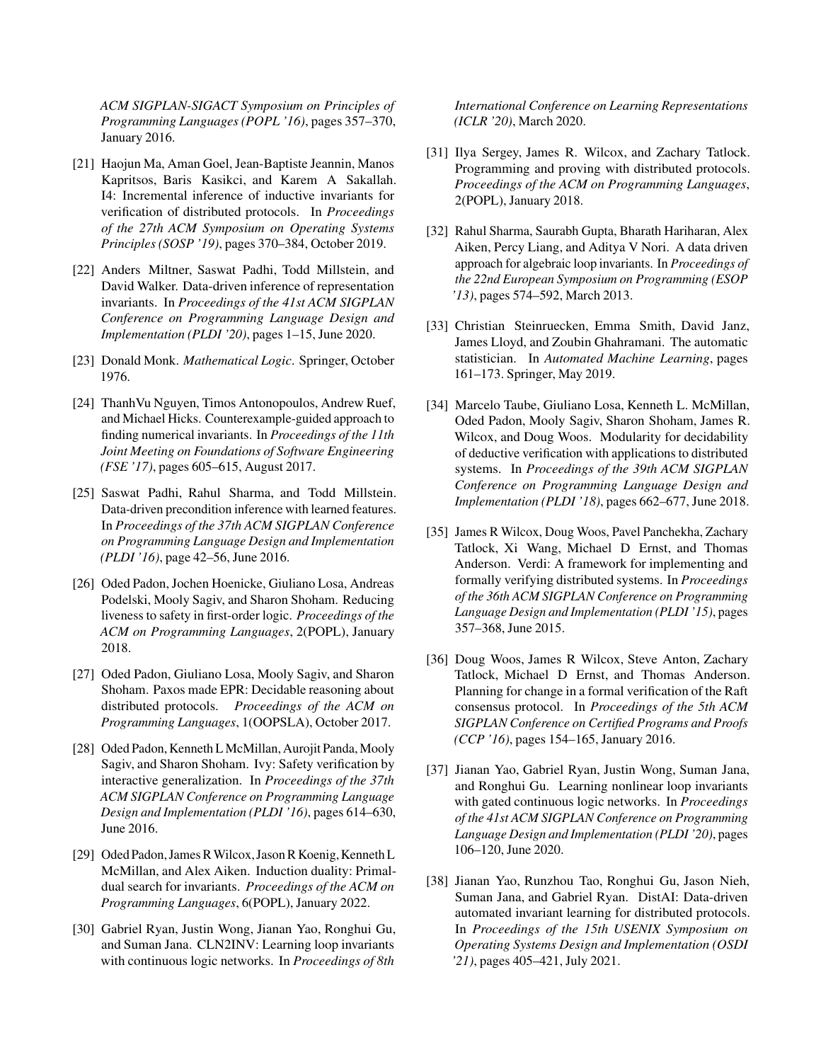*ACM SIGPLAN-SIGACT Symposium on Principles of Programming Languages (POPL '16)*, pages 357–370, January 2016.

- <span id="page-15-1"></span>[21] Haojun Ma, Aman Goel, Jean-Baptiste Jeannin, Manos Kapritsos, Baris Kasikci, and Karem A Sakallah. I4: Incremental inference of inductive invariants for verification of distributed protocols. In *Proceedings of the 27th ACM Symposium on Operating Systems Principles (SOSP '19)*, pages 370–384, October 2019.
- <span id="page-15-17"></span>[22] Anders Miltner, Saswat Padhi, Todd Millstein, and David Walker. Data-driven inference of representation invariants. In *Proceedings of the 41st ACM SIGPLAN Conference on Programming Language Design and Implementation (PLDI '20)*, pages 1–15, June 2020.
- <span id="page-15-5"></span>[23] Donald Monk. *Mathematical Logic*. Springer, October 1976.
- <span id="page-15-12"></span>[24] ThanhVu Nguyen, Timos Antonopoulos, Andrew Ruef, and Michael Hicks. Counterexample-guided approach to finding numerical invariants. In *Proceedings of the 11th Joint Meeting on Foundations of Software Engineering (FSE '17)*, pages 605–615, August 2017.
- <span id="page-15-13"></span>[25] Saswat Padhi, Rahul Sharma, and Todd Millstein. Data-driven precondition inference with learned features. In *Proceedings of the 37th ACM SIGPLAN Conference on Programming Language Design and Implementation (PLDI '16)*, page 42–56, June 2016.
- <span id="page-15-10"></span>[26] Oded Padon, Jochen Hoenicke, Giuliano Losa, Andreas Podelski, Mooly Sagiv, and Sharon Shoham. Reducing liveness to safety in first-order logic. *Proceedings of the ACM on Programming Languages*, 2(POPL), January 2018.
- <span id="page-15-3"></span>[27] Oded Padon, Giuliano Losa, Mooly Sagiv, and Sharon Shoham. Paxos made EPR: Decidable reasoning about distributed protocols. *Proceedings of the ACM on Programming Languages*, 1(OOPSLA), October 2017.
- <span id="page-15-4"></span>[28] Oded Padon, Kenneth L McMillan, Aurojit Panda, Mooly Sagiv, and Sharon Shoham. Ivy: Safety verification by interactive generalization. In *Proceedings of the 37th ACM SIGPLAN Conference on Programming Language Design and Implementation (PLDI '16)*, pages 614–630, June 2016.
- <span id="page-15-9"></span>[29] Oded Padon, James R Wilcox, Jason R Koenig, Kenneth L McMillan, and Alex Aiken. Induction duality: Primaldual search for invariants. *Proceedings of the ACM on Programming Languages*, 6(POPL), January 2022.
- <span id="page-15-14"></span>[30] Gabriel Ryan, Justin Wong, Jianan Yao, Ronghui Gu, and Suman Jana. CLN2INV: Learning loop invariants with continuous logic networks. In *Proceedings of 8th*

*International Conference on Learning Representations (ICLR '20)*, March 2020.

- <span id="page-15-6"></span>[31] Ilya Sergey, James R. Wilcox, and Zachary Tatlock. Programming and proving with distributed protocols. *Proceedings of the ACM on Programming Languages*, 2(POPL), January 2018.
- <span id="page-15-15"></span>[32] Rahul Sharma, Saurabh Gupta, Bharath Hariharan, Alex Aiken, Percy Liang, and Aditya V Nori. A data driven approach for algebraic loop invariants. In *Proceedings of the 22nd European Symposium on Programming (ESOP '13)*, pages 574–592, March 2013.
- <span id="page-15-11"></span>[33] Christian Steinruecken, Emma Smith, David Janz, James Lloyd, and Zoubin Ghahramani. The automatic statistician. In *Automated Machine Learning*, pages 161–173. Springer, May 2019.
- <span id="page-15-7"></span>[34] Marcelo Taube, Giuliano Losa, Kenneth L. McMillan, Oded Padon, Mooly Sagiv, Sharon Shoham, James R. Wilcox, and Doug Woos. Modularity for decidability of deductive verification with applications to distributed systems. In *Proceedings of the 39th ACM SIGPLAN Conference on Programming Language Design and Implementation (PLDI '18)*, pages 662–677, June 2018.
- <span id="page-15-0"></span>[35] James R Wilcox, Doug Woos, Pavel Panchekha, Zachary Tatlock, Xi Wang, Michael D Ernst, and Thomas Anderson. Verdi: A framework for implementing and formally verifying distributed systems. In *Proceedings of the 36th ACM SIGPLAN Conference on Programming Language Design and Implementation (PLDI '15)*, pages 357–368, June 2015.
- <span id="page-15-8"></span>[36] Doug Woos, James R Wilcox, Steve Anton, Zachary Tatlock, Michael D Ernst, and Thomas Anderson. Planning for change in a formal verification of the Raft consensus protocol. In *Proceedings of the 5th ACM SIGPLAN Conference on Certified Programs and Proofs (CCP '16)*, pages 154–165, January 2016.
- <span id="page-15-16"></span>[37] Jianan Yao, Gabriel Ryan, Justin Wong, Suman Jana, and Ronghui Gu. Learning nonlinear loop invariants with gated continuous logic networks. In *Proceedings of the 41st ACM SIGPLAN Conference on Programming Language Design and Implementation (PLDI '20)*, pages 106–120, June 2020.
- <span id="page-15-2"></span>[38] Jianan Yao, Runzhou Tao, Ronghui Gu, Jason Nieh, Suman Jana, and Gabriel Ryan. DistAI: Data-driven automated invariant learning for distributed protocols. In *Proceedings of the 15th USENIX Symposium on Operating Systems Design and Implementation (OSDI '21)*, pages 405–421, July 2021.